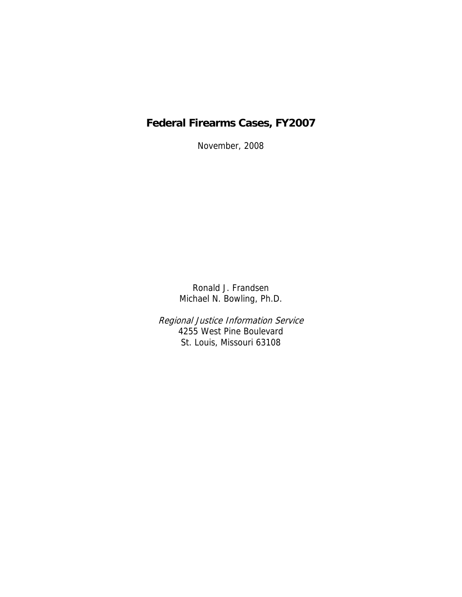# **Federal Firearms Cases, FY2007**

November, 2008

Ronald J. Frandsen Michael N. Bowling, Ph.D.

Regional Justice Information Service 4255 West Pine Boulevard St. Louis, Missouri 63108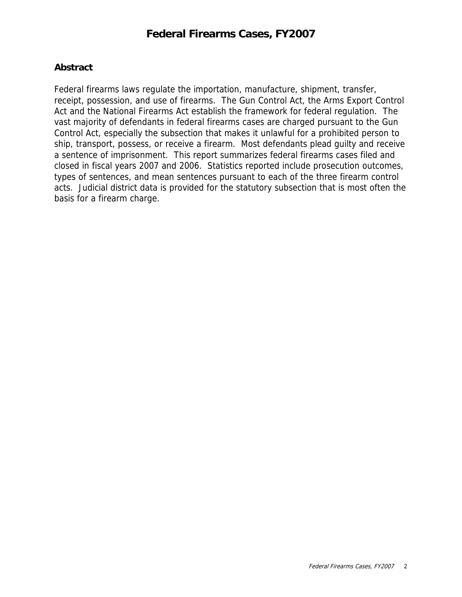## **Abstract**

Federal firearms laws regulate the importation, manufacture, shipment, transfer, receipt, possession, and use of firearms. The Gun Control Act, the Arms Export Control Act and the National Firearms Act establish the framework for federal regulation. The vast majority of defendants in federal firearms cases are charged pursuant to the Gun Control Act, especially the subsection that makes it unlawful for a prohibited person to ship, transport, possess, or receive a firearm. Most defendants plead guilty and receive a sentence of imprisonment. This report summarizes federal firearms cases filed and closed in fiscal years 2007 and 2006. Statistics reported include prosecution outcomes, types of sentences, and mean sentences pursuant to each of the three firearm control acts. Judicial district data is provided for the statutory subsection that is most often the basis for a firearm charge.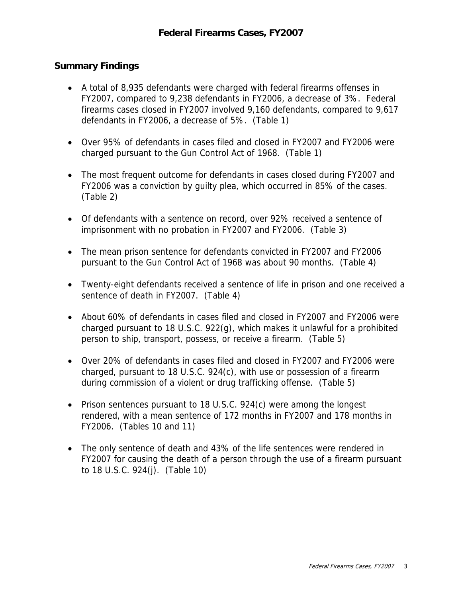# **Summary Findings**

- A total of 8,935 defendants were charged with federal firearms offenses in FY2007, compared to 9,238 defendants in FY2006, a decrease of 3%. Federal firearms cases closed in FY2007 involved 9,160 defendants, compared to 9,617 defendants in FY2006, a decrease of 5%. (Table 1)
- Over 95% of defendants in cases filed and closed in FY2007 and FY2006 were charged pursuant to the Gun Control Act of 1968. (Table 1)
- The most frequent outcome for defendants in cases closed during FY2007 and FY2006 was a conviction by guilty plea, which occurred in 85% of the cases. (Table 2)
- Of defendants with a sentence on record, over 92% received a sentence of imprisonment with no probation in FY2007 and FY2006. (Table 3)
- The mean prison sentence for defendants convicted in FY2007 and FY2006 pursuant to the Gun Control Act of 1968 was about 90 months. (Table 4)
- Twenty-eight defendants received a sentence of life in prison and one received a sentence of death in FY2007. (Table 4)
- About 60% of defendants in cases filed and closed in FY2007 and FY2006 were charged pursuant to 18 U.S.C. 922(g), which makes it unlawful for a prohibited person to ship, transport, possess, or receive a firearm. (Table 5)
- Over 20% of defendants in cases filed and closed in FY2007 and FY2006 were charged, pursuant to 18 U.S.C. 924(c), with use or possession of a firearm during commission of a violent or drug trafficking offense. (Table 5)
- Prison sentences pursuant to 18 U.S.C. 924(c) were among the longest rendered, with a mean sentence of 172 months in FY2007 and 178 months in FY2006. (Tables 10 and 11)
- The only sentence of death and 43% of the life sentences were rendered in FY2007 for causing the death of a person through the use of a firearm pursuant to 18 U.S.C. 924(j). (Table 10)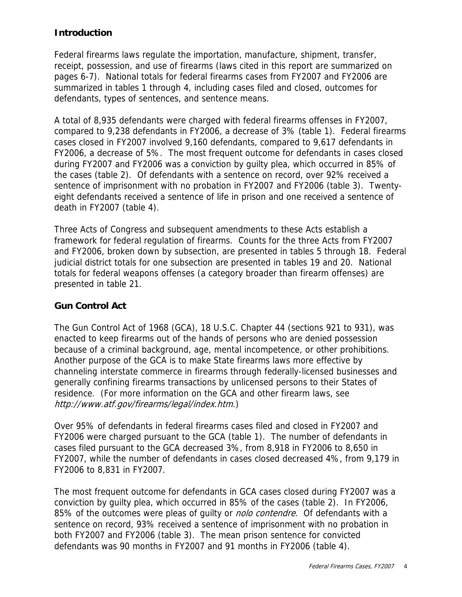# **Introduction**

Federal firearms laws regulate the importation, manufacture, shipment, transfer, receipt, possession, and use of firearms (laws cited in this report are summarized on pages 6-7). National totals for federal firearms cases from FY2007 and FY2006 are summarized in tables 1 through 4, including cases filed and closed, outcomes for defendants, types of sentences, and sentence means.

A total of 8,935 defendants were charged with federal firearms offenses in FY2007, compared to 9,238 defendants in FY2006, a decrease of 3% (table 1). Federal firearms cases closed in FY2007 involved 9,160 defendants, compared to 9,617 defendants in FY2006, a decrease of 5%. The most frequent outcome for defendants in cases closed during FY2007 and FY2006 was a conviction by guilty plea, which occurred in 85% of the cases (table 2). Of defendants with a sentence on record, over 92% received a sentence of imprisonment with no probation in FY2007 and FY2006 (table 3). Twentyeight defendants received a sentence of life in prison and one received a sentence of death in FY2007 (table 4).

Three Acts of Congress and subsequent amendments to these Acts establish a framework for federal regulation of firearms. Counts for the three Acts from FY2007 and FY2006, broken down by subsection, are presented in tables 5 through 18. Federal judicial district totals for one subsection are presented in tables 19 and 20. National totals for federal weapons offenses (a category broader than firearm offenses) are presented in table 21.

# **Gun Control Act**

The Gun Control Act of 1968 (GCA), 18 U.S.C. Chapter 44 (sections 921 to 931), was enacted to keep firearms out of the hands of persons who are denied possession because of a criminal background, age, mental incompetence, or other prohibitions. Another purpose of the GCA is to make State firearms laws more effective by channeling interstate commerce in firearms through federally-licensed businesses and generally confining firearms transactions by unlicensed persons to their States of residence. (For more information on the GCA and other firearm laws, see http://www.atf.gov/firearms/legal/index.htm.)

Over 95% of defendants in federal firearms cases filed and closed in FY2007 and FY2006 were charged pursuant to the GCA (table 1). The number of defendants in cases filed pursuant to the GCA decreased 3%, from 8,918 in FY2006 to 8,650 in FY2007, while the number of defendants in cases closed decreased 4%, from 9,179 in FY2006 to 8,831 in FY2007.

The most frequent outcome for defendants in GCA cases closed during FY2007 was a conviction by guilty plea, which occurred in 85% of the cases (table 2). In FY2006, 85% of the outcomes were pleas of guilty or *nolo contendre*. Of defendants with a sentence on record, 93% received a sentence of imprisonment with no probation in both FY2007 and FY2006 (table 3). The mean prison sentence for convicted defendants was 90 months in FY2007 and 91 months in FY2006 (table 4).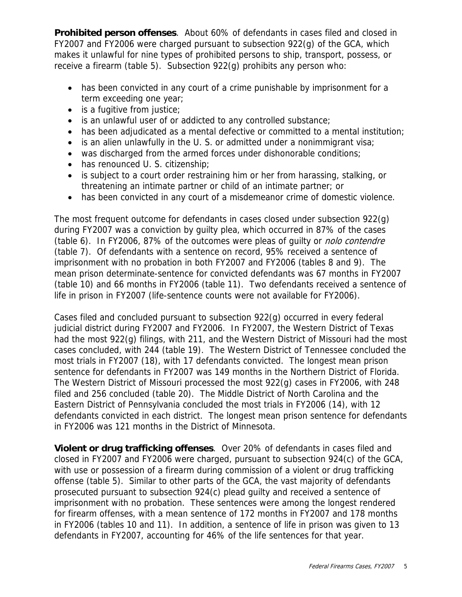**Prohibited person offenses**. About 60% of defendants in cases filed and closed in FY2007 and FY2006 were charged pursuant to subsection 922(g) of the GCA, which makes it unlawful for nine types of prohibited persons to ship, transport, possess, or receive a firearm (table 5). Subsection 922(g) prohibits any person who:

- has been convicted in any court of a crime punishable by imprisonment for a term exceeding one year;
- is a fugitive from justice;
- is an unlawful user of or addicted to any controlled substance;
- has been adjudicated as a mental defective or committed to a mental institution;
- is an alien unlawfully in the U. S. or admitted under a nonimmigrant visa;
- was discharged from the armed forces under dishonorable conditions;
- has renounced U. S. citizenship;
- is subject to a court order restraining him or her from harassing, stalking, or threatening an intimate partner or child of an intimate partner; or
- has been convicted in any court of a misdemeanor crime of domestic violence.

The most frequent outcome for defendants in cases closed under subsection 922(g) during FY2007 was a conviction by guilty plea, which occurred in 87% of the cases (table 6). In FY2006, 87% of the outcomes were pleas of guilty or nolo contendre (table 7). Of defendants with a sentence on record, 95% received a sentence of imprisonment with no probation in both FY2007 and FY2006 (tables 8 and 9). The mean prison determinate-sentence for convicted defendants was 67 months in FY2007 (table 10) and 66 months in FY2006 (table 11). Two defendants received a sentence of life in prison in FY2007 (life-sentence counts were not available for FY2006).

Cases filed and concluded pursuant to subsection 922(g) occurred in every federal judicial district during FY2007 and FY2006. In FY2007, the Western District of Texas had the most 922(g) filings, with 211, and the Western District of Missouri had the most cases concluded, with 244 (table 19). The Western District of Tennessee concluded the most trials in FY2007 (18), with 17 defendants convicted. The longest mean prison sentence for defendants in FY2007 was 149 months in the Northern District of Florida. The Western District of Missouri processed the most 922(g) cases in FY2006, with 248 filed and 256 concluded (table 20). The Middle District of North Carolina and the Eastern District of Pennsylvania concluded the most trials in FY2006 (14), with 12 defendants convicted in each district. The longest mean prison sentence for defendants in FY2006 was 121 months in the District of Minnesota.

**Violent or drug trafficking offenses**. Over 20% of defendants in cases filed and closed in FY2007 and FY2006 were charged, pursuant to subsection 924(c) of the GCA, with use or possession of a firearm during commission of a violent or drug trafficking offense (table 5). Similar to other parts of the GCA, the vast majority of defendants prosecuted pursuant to subsection 924(c) plead guilty and received a sentence of imprisonment with no probation. These sentences were among the longest rendered for firearm offenses, with a mean sentence of 172 months in FY2007 and 178 months in FY2006 (tables 10 and 11). In addition, a sentence of life in prison was given to 13 defendants in FY2007, accounting for 46% of the life sentences for that year.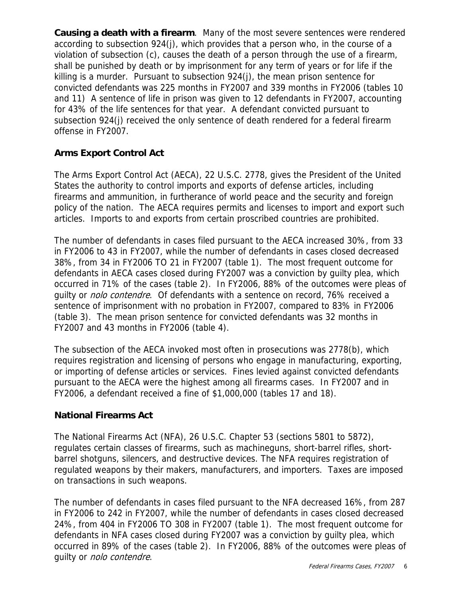**Causing a death with a firearm**. Many of the most severe sentences were rendered according to subsection 924(j), which provides that a person who, in the course of a violation of subsection (c), causes the death of a person through the use of a firearm, shall be punished by death or by imprisonment for any term of years or for life if the killing is a murder. Pursuant to subsection 924(j), the mean prison sentence for convicted defendants was 225 months in FY2007 and 339 months in FY2006 (tables 10 and 11) A sentence of life in prison was given to 12 defendants in FY2007, accounting for 43% of the life sentences for that year. A defendant convicted pursuant to subsection 924(j) received the only sentence of death rendered for a federal firearm offense in FY2007.

# **Arms Export Control Act**

The Arms Export Control Act (AECA), 22 U.S.C. 2778, gives the President of the United States the authority to control imports and exports of defense articles, including firearms and ammunition, in furtherance of world peace and the security and foreign policy of the nation. The AECA requires permits and licenses to import and export such articles. Imports to and exports from certain proscribed countries are prohibited.

The number of defendants in cases filed pursuant to the AECA increased 30%, from 33 in FY2006 to 43 in FY2007, while the number of defendants in cases closed decreased 38%, from 34 in FY2006 TO 21 in FY2007 (table 1). The most frequent outcome for defendants in AECA cases closed during FY2007 was a conviction by guilty plea, which occurred in 71% of the cases (table 2). In FY2006, 88% of the outcomes were pleas of quilty or *nolo contendre*. Of defendants with a sentence on record, 76% received a sentence of imprisonment with no probation in FY2007, compared to 83% in FY2006 (table 3). The mean prison sentence for convicted defendants was 32 months in FY2007 and 43 months in FY2006 (table 4).

The subsection of the AECA invoked most often in prosecutions was 2778(b), which requires registration and licensing of persons who engage in manufacturing, exporting, or importing of defense articles or services. Fines levied against convicted defendants pursuant to the AECA were the highest among all firearms cases. In FY2007 and in FY2006, a defendant received a fine of \$1,000,000 (tables 17 and 18).

# **National Firearms Act**

The National Firearms Act (NFA), 26 U.S.C. Chapter 53 (sections 5801 to 5872), regulates certain classes of firearms, such as machineguns, short-barrel rifles, shortbarrel shotguns, silencers, and destructive devices. The NFA requires registration of regulated weapons by their makers, manufacturers, and importers. Taxes are imposed on transactions in such weapons.

The number of defendants in cases filed pursuant to the NFA decreased 16%, from 287 in FY2006 to 242 in FY2007, while the number of defendants in cases closed decreased 24%, from 404 in FY2006 TO 308 in FY2007 (table 1). The most frequent outcome for defendants in NFA cases closed during FY2007 was a conviction by guilty plea, which occurred in 89% of the cases (table 2). In FY2006, 88% of the outcomes were pleas of guilty or nolo contendre.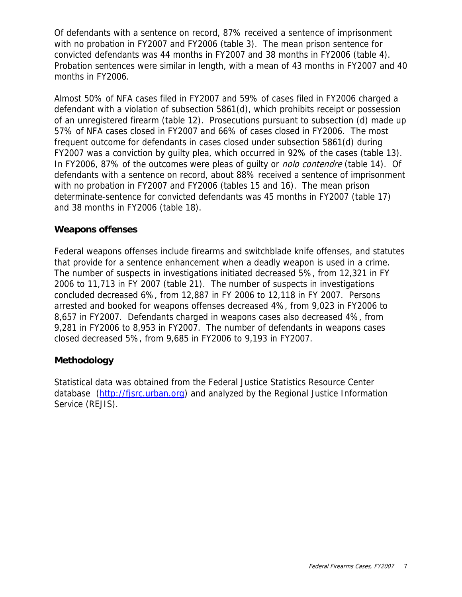Of defendants with a sentence on record, 87% received a sentence of imprisonment with no probation in FY2007 and FY2006 (table 3). The mean prison sentence for convicted defendants was 44 months in FY2007 and 38 months in FY2006 (table 4). Probation sentences were similar in length, with a mean of 43 months in FY2007 and 40 months in FY2006.

Almost 50% of NFA cases filed in FY2007 and 59% of cases filed in FY2006 charged a defendant with a violation of subsection 5861(d), which prohibits receipt or possession of an unregistered firearm (table 12). Prosecutions pursuant to subsection (d) made up 57% of NFA cases closed in FY2007 and 66% of cases closed in FY2006. The most frequent outcome for defendants in cases closed under subsection 5861(d) during FY2007 was a conviction by guilty plea, which occurred in 92% of the cases (table 13). In FY2006, 87% of the outcomes were pleas of quilty or *nolo contendre* (table 14). Of defendants with a sentence on record, about 88% received a sentence of imprisonment with no probation in FY2007 and FY2006 (tables 15 and 16). The mean prison determinate-sentence for convicted defendants was 45 months in FY2007 (table 17) and 38 months in FY2006 (table 18).

## **Weapons offenses**

Federal weapons offenses include firearms and switchblade knife offenses, and statutes that provide for a sentence enhancement when a deadly weapon is used in a crime. The number of suspects in investigations initiated decreased 5%, from 12,321 in FY 2006 to 11,713 in FY 2007 (table 21). The number of suspects in investigations concluded decreased 6%, from 12,887 in FY 2006 to 12,118 in FY 2007. Persons arrested and booked for weapons offenses decreased 4%, from 9,023 in FY2006 to 8,657 in FY2007. Defendants charged in weapons cases also decreased 4%, from 9,281 in FY2006 to 8,953 in FY2007. The number of defendants in weapons cases closed decreased 5%, from 9,685 in FY2006 to 9,193 in FY2007.

# **Methodology**

Statistical data was obtained from the Federal Justice Statistics Resource Center database ([http://fjsrc.urban.org](http://fjsrc.urban.org/)) and analyzed by the Regional Justice Information Service (REJIS).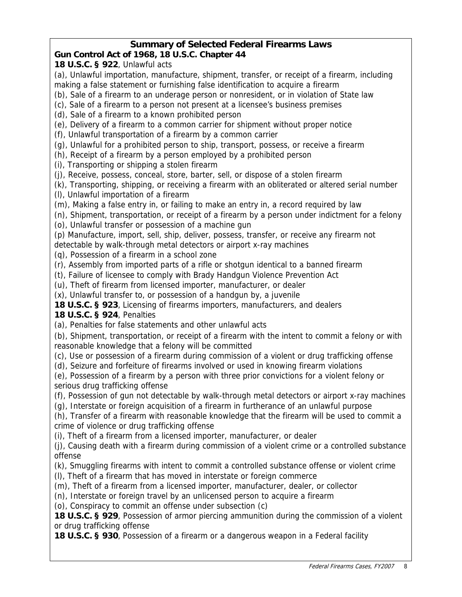# **Summary of Selected Federal Firearms Laws**

# **Gun Control Act of 1968, 18 U.S.C. Chapter 44**

# **18 U.S.C. § 922**, Unlawful acts

(a), Unlawful importation, manufacture, shipment, transfer, or receipt of a firearm, including making a false statement or furnishing false identification to acquire a firearm

- (b), Sale of a firearm to an underage person or nonresident, or in violation of State law
- (c), Sale of a firearm to a person not present at a licensee's business premises
- (d), Sale of a firearm to a known prohibited person
- (e), Delivery of a firearm to a common carrier for shipment without proper notice
- (f), Unlawful transportation of a firearm by a common carrier
- (g), Unlawful for a prohibited person to ship, transport, possess, or receive a firearm
- (h), Receipt of a firearm by a person employed by a prohibited person
- (i), Transporting or shipping a stolen firearm
- (j), Receive, possess, conceal, store, barter, sell, or dispose of a stolen firearm
- (k), Transporting, shipping, or receiving a firearm with an obliterated or altered serial number
- (l), Unlawful importation of a firearm
- (m), Making a false entry in, or failing to make an entry in, a record required by law
- (n), Shipment, transportation, or receipt of a firearm by a person under indictment for a felony
- (o), Unlawful transfer or possession of a machine gun
- (p) Manufacture, import, sell, ship, deliver, possess, transfer, or receive any firearm not detectable by walk-through metal detectors or airport x-ray machines
- (q), Possession of a firearm in a school zone
- (r), Assembly from imported parts of a rifle or shotgun identical to a banned firearm
- (t), Failure of licensee to comply with Brady Handgun Violence Prevention Act
- (u), Theft of firearm from licensed importer, manufacturer, or dealer
- (x), Unlawful transfer to, or possession of a handgun by, a juvenile
- **18 U.S.C. § 923**, Licensing of firearms importers, manufacturers, and dealers
- **18 U.S.C. § 924**, Penalties
- (a), Penalties for false statements and other unlawful acts
- (b), Shipment, transportation, or receipt of a firearm with the intent to commit a felony or with reasonable knowledge that a felony will be committed
- (c), Use or possession of a firearm during commission of a violent or drug trafficking offense
- (d), Seizure and forfeiture of firearms involved or used in knowing firearm violations
- (e), Possession of a firearm by a person with three prior convictions for a violent felony or serious drug trafficking offense
- (f), Possession of gun not detectable by walk-through metal detectors or airport x-ray machines
- (g), Interstate or foreign acquisition of a firearm in furtherance of an unlawful purpose
- (h), Transfer of a firearm with reasonable knowledge that the firearm will be used to commit a crime of violence or drug trafficking offense
- (i), Theft of a firearm from a licensed importer, manufacturer, or dealer
- (j), Causing death with a firearm during commission of a violent crime or a controlled substance offense
- (k), Smuggling firearms with intent to commit a controlled substance offense or violent crime
- (l), Theft of a firearm that has moved in interstate or foreign commerce
- (m), Theft of a firearm from a licensed importer, manufacturer, dealer, or collector
- (n), Interstate or foreign travel by an unlicensed person to acquire a firearm
- (o), Conspiracy to commit an offense under subsection (c)
- **18 U.S.C. § 929**, Possession of armor piercing ammunition during the commission of a violent or drug trafficking offense
- **18 U.S.C. § 930**, Possession of a firearm or a dangerous weapon in a Federal facility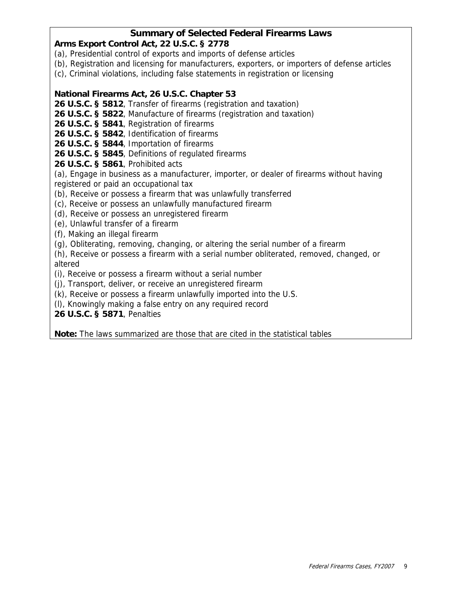## **Summary of Selected Federal Firearms Laws**

## **Arms Export Control Act, 22 U.S.C. § 2778**

- (a), Presidential control of exports and imports of defense articles
- (b), Registration and licensing for manufacturers, exporters, or importers of defense articles
- (c), Criminal violations, including false statements in registration or licensing

## **National Firearms Act, 26 U.S.C. Chapter 53**

**26 U.S.C. § 5812**, Transfer of firearms (registration and taxation)

**26 U.S.C. § 5822**, Manufacture of firearms (registration and taxation)

**26 U.S.C. § 5841**, Registration of firearms

**26 U.S.C. § 5842**, Identification of firearms

**26 U.S.C. § 5844**, Importation of firearms

**26 U.S.C. § 5845**, Definitions of regulated firearms

**26 U.S.C. § 5861**, Prohibited acts

(a), Engage in business as a manufacturer, importer, or dealer of firearms without having registered or paid an occupational tax

(b), Receive or possess a firearm that was unlawfully transferred

(c), Receive or possess an unlawfully manufactured firearm

(d), Receive or possess an unregistered firearm

(e), Unlawful transfer of a firearm

(f), Making an illegal firearm

(g), Obliterating, removing, changing, or altering the serial number of a firearm

(h), Receive or possess a firearm with a serial number obliterated, removed, changed, or altered

(i), Receive or possess a firearm without a serial number

(j), Transport, deliver, or receive an unregistered firearm

(k), Receive or possess a firearm unlawfully imported into the U.S.

(l), Knowingly making a false entry on any required record

**26 U.S.C. § 5871**, Penalties

**Note:** The laws summarized are those that are cited in the statistical tables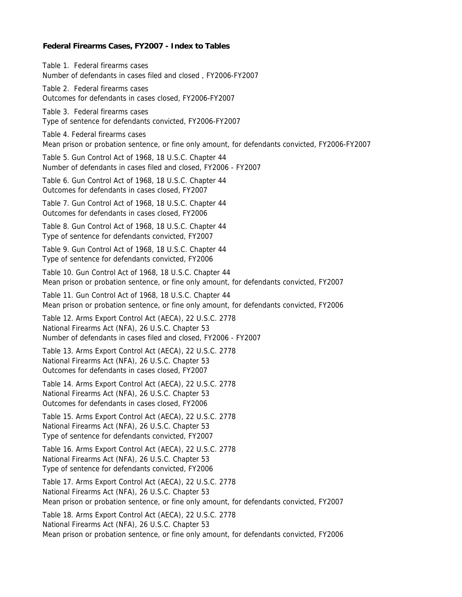#### **Federal Firearms Cases, FY2007 - Index to Tables**

Table 5. Gun Control Act of 1968, 18 U.S.C. Chapter 44 Type of sentence for defendants convicted, FY2006-FY2007 Outcomes for defendants in cases closed, FY2006-FY2007 Table 1. Federal firearms cases Number of defendants in cases filed and closed , FY2006-FY2007 Table 2. Federal firearms cases Mean prison or probation sentence, or fine only amount, for defendants convicted, FY2006-FY2007 Table 3. Federal firearms cases Table 4. Federal firearms cases

Number of defendants in cases filed and closed, FY2006 - FY2007

Table 6. Gun Control Act of 1968, 18 U.S.C. Chapter 44 Outcomes for defendants in cases closed, FY2007

Table 7. Gun Control Act of 1968, 18 U.S.C. Chapter 44 Outcomes for defendants in cases closed, FY2006

Type of sentence for defendants convicted, FY2007 Table 8. Gun Control Act of 1968, 18 U.S.C. Chapter 44

Table 9. Gun Control Act of 1968, 18 U.S.C. Chapter 44 Type of sentence for defendants convicted, FY2006

Table 10. Gun Control Act of 1968, 18 U.S.C. Chapter 44 Mean prison or probation sentence, or fine only amount, for defendants convicted, FY2007

Table 11. Gun Control Act of 1968, 18 U.S.C. Chapter 44 Mean prison or probation sentence, or fine only amount, for defendants convicted, FY2006

Number of defendants in cases filed and closed, FY2006 - FY2007 National Firearms Act (NFA), 26 U.S.C. Chapter 53 Table 12. Arms Export Control Act (AECA), 22 U.S.C. 2778

National Firearms Act (NFA), 26 U.S.C. Chapter 53 Outcomes for defendants in cases closed, FY2007 Table 13. Arms Export Control Act (AECA), 22 U.S.C. 2778

Table 14. Arms Export Control Act (AECA), 22 U.S.C. 2778 National Firearms Act (NFA), 26 U.S.C. Chapter 53 Outcomes for defendants in cases closed, FY2006

National Firearms Act (NFA), 26 U.S.C. Chapter 53 Type of sentence for defendants convicted, FY2007 Table 15. Arms Export Control Act (AECA), 22 U.S.C. 2778

Type of sentence for defendants convicted, FY2006 Table 16. Arms Export Control Act (AECA), 22 U.S.C. 2778 National Firearms Act (NFA), 26 U.S.C. Chapter 53

Table 17. Arms Export Control Act (AECA), 22 U.S.C. 2778 National Firearms Act (NFA), 26 U.S.C. Chapter 53 Mean prison or probation sentence, or fine only amount, for defendants convicted, FY2007

Mean prison or probation sentence, or fine only amount, for defendants convicted, FY2006 Table 18. Arms Export Control Act (AECA), 22 U.S.C. 2778 National Firearms Act (NFA), 26 U.S.C. Chapter 53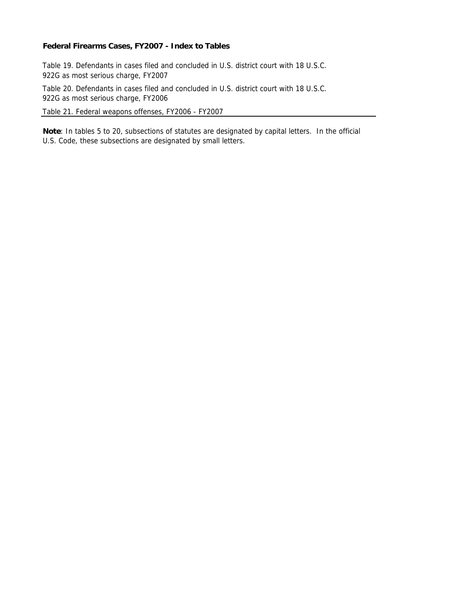#### **Federal Firearms Cases, FY2007 - Index to Tables**

Table 19. Defendants in cases filed and concluded in U.S. district court with 18 U.S.C. 922G as most serious charge, FY2007

Table 20. Defendants in cases filed and concluded in U.S. district court with 18 U.S.C. 922G as most serious charge, FY2006

Table 21. Federal weapons offenses, FY2006 - FY2007

**Note**: In tables 5 to 20, subsections of statutes are designated by capital letters. In the official U.S. Code, these subsections are designated by small letters.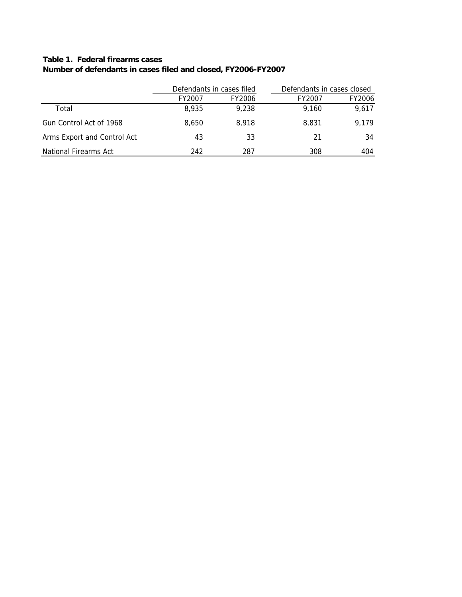# **Table 1. Federal firearms cases**

|                              |        | Defendants in cases filed | Defendants in cases closed |        |  |
|------------------------------|--------|---------------------------|----------------------------|--------|--|
|                              | FY2007 | FY2006                    | FY2007                     | FY2006 |  |
| Total                        | 8.935  | 9.238                     | 9.160                      | 9,617  |  |
| Gun Control Act of 1968      | 8.650  | 8.918                     | 8.831                      | 9.179  |  |
| Arms Export and Control Act  | 43     | 33                        | 21                         | 34     |  |
| <b>National Firearms Act</b> | 242    | 287                       | 308                        | 404    |  |

# **Number of defendants in cases filed and closed, FY2006-FY2007**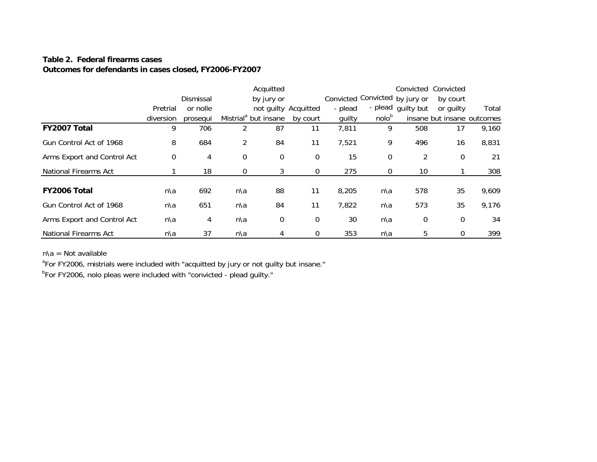## **Table 2. Federal firearms casesOutcomes for defendants in cases closed, FY2006-FY2007**

|                              |             |                |                | Acquitted                        |                      |         |                                | Convicted Convicted |                            |       |
|------------------------------|-------------|----------------|----------------|----------------------------------|----------------------|---------|--------------------------------|---------------------|----------------------------|-------|
|                              |             | Dismissal      |                | by jury or                       |                      |         | Convicted Convicted by jury or |                     | by court                   |       |
|                              | Pretrial    | or nolle       |                |                                  | not guilty Acquitted | - plead |                                | - plead quilty but  | or quilty                  | Total |
|                              | diversion   | prosegui       |                | Mistrial <sup>a</sup> but insane | by court             | guilty  | nolob                          |                     | insane but insane outcomes |       |
| FY2007 Total                 | 9           | 706            | 2              | 87                               | 11                   | 7,811   | 9                              | 508                 | 17                         | 9,160 |
| Gun Control Act of 1968      | 8           | 684            | $\overline{2}$ | 84                               | 11                   | 7,521   | 9                              | 496                 | 16                         | 8,831 |
| Arms Export and Control Act  | $\mathbf 0$ | 4              | 0              | $\mathbf 0$                      | $\mathbf 0$          | 15      | 0                              | 2                   | $\mathbf 0$                | 21    |
| <b>National Firearms Act</b> |             | 18             | 0              | 3                                | $\mathbf 0$          | 275     | $\mathbf 0$                    | 10                  |                            | 308   |
| FY2006 Total                 | n\a         | 692            | n\a            | 88                               | 11                   | 8,205   | n\a                            | 578                 | 35                         | 9,609 |
| Gun Control Act of 1968      | n\a         | 651            | n\a            | 84                               | 11                   | 7,822   | n\a                            | 573                 | 35                         | 9,176 |
| Arms Export and Control Act  | n\a         | $\overline{4}$ | n\a            | 0                                | 0                    | 30      | n\a                            | $\boldsymbol{0}$    | $\mathbf 0$                | 34    |
| National Firearms Act        | n\a         | 37             | n\a            | 4                                | $\mathbf 0$          | 353     | n\a                            | 5                   | $\mathbf 0$                | 399   |

n\a = Not available

<sup>a</sup>For FY2006, mistrials were included with "acquitted by jury or not guilty but insane."

<sup>b</sup>For FY2006, nolo pleas were included with "convicted - plead guilty."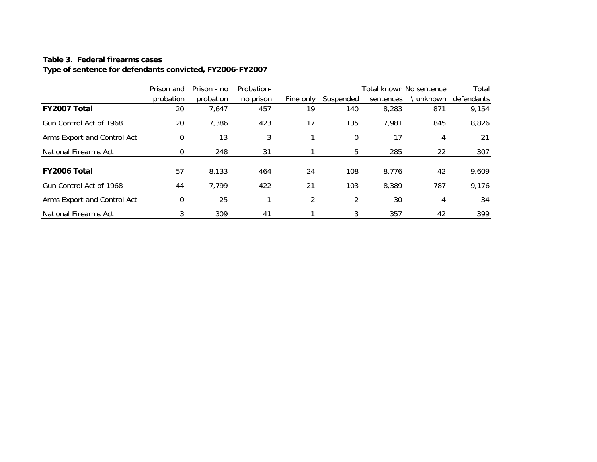## **Table 3. Federal firearms cases**

## **Type of sentence for defendants convicted, FY2006-FY2007**

|                              | Prison and | Prison - no | Probation- |               |             | Total known No sentence |          | Total      |
|------------------------------|------------|-------------|------------|---------------|-------------|-------------------------|----------|------------|
|                              | probation  | probation   | no prison  | Fine only     | Suspended   | sentences               | unknown) | defendants |
| FY2007 Total                 | 20         | 7,647       | 457        | 19            | 140         | 8,283                   | 871      | 9,154      |
| Gun Control Act of 1968      | 20         | 7,386       | 423        | 17            | 135         | 7,981                   | 845      | 8,826      |
| Arms Export and Control Act  | 0          | 13          | 3          |               | $\mathbf 0$ | 17                      | 4        | 21         |
| <b>National Firearms Act</b> | 0          | 248         | 31         |               | 5           | 285                     | 22       | 307        |
|                              |            |             |            |               |             |                         |          |            |
| FY2006 Total                 | 57         | 8,133       | 464        | 24            | 108         | 8,776                   | 42       | 9,609      |
| Gun Control Act of 1968      | 44         | 7,799       | 422        | 21            | 103         | 8,389                   | 787      | 9,176      |
| Arms Export and Control Act  | 0          | 25          |            | $\mathcal{P}$ | 2           | 30                      | 4        | 34         |
| <b>National Firearms Act</b> | 3          | 309         | 41         |               | 3           | 357                     | 42       | 399        |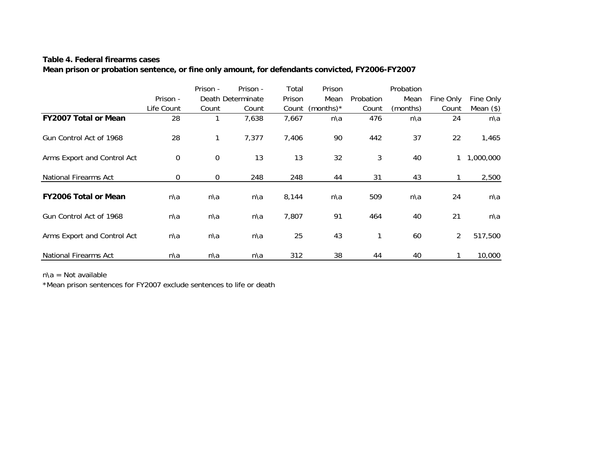### **Table 4. Federal firearms cases**

## **Mean prison or probation sentence, or fine only amount, for defendants convicted, FY2006-FY2007**

|                              |                  | Prison -    | Prison -          | Total  | Prison       |           | Probation |                |             |
|------------------------------|------------------|-------------|-------------------|--------|--------------|-----------|-----------|----------------|-------------|
|                              | Prison -         |             | Death Determinate | Prison | Mean         | Probation | Mean      | Fine Only      | Fine Only   |
|                              | Life Count       | Count       | Count             | Count  | (months) $*$ | Count     | (months)  | Count          | Mean $(\$)$ |
| <b>FY2007 Total or Mean</b>  | 28               |             | 7,638             | 7,667  | n\a          | 476       | n\a       | 24             | n\a         |
| Gun Control Act of 1968      | 28               | 1           | 7,377             | 7,406  | 90           | 442       | 37        | 22             | 1,465       |
| Arms Export and Control Act  | $\boldsymbol{0}$ | $\mathbf 0$ | 13                | 13     | 32           | 3         | 40        |                | 1,000,000   |
| <b>National Firearms Act</b> | $\mathbf 0$      | 0           | 248               | 248    | 44           | 31        | 43        | $\mathbf{1}$   | 2,500       |
| <b>FY2006 Total or Mean</b>  | n\a              | n\a         | n\a               | 8,144  | n\a          | 509       | n\a       | 24             | n\a         |
| Gun Control Act of 1968      | n\a              | n\a         | n\a               | 7,807  | 91           | 464       | 40        | 21             | n\a         |
| Arms Export and Control Act  | n\a              | n\a         | n\a               | 25     | 43           | 1         | 60        | $\overline{2}$ | 517,500     |
| <b>National Firearms Act</b> | n\a              | n\a         | n\a               | 312    | 38           | 44        | 40        |                | 10,000      |

 $n\$ a = Not available

\*Mean prison sentences for FY2007 exclude sentences to life or death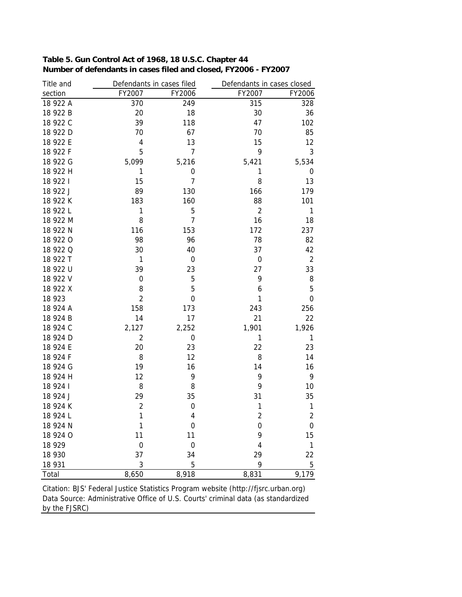| Title and |                  | Defendants in cases filed |                | Defendants in cases closed |
|-----------|------------------|---------------------------|----------------|----------------------------|
| section   | FY2007           | FY2006                    | FY2007         | FY2006                     |
| 18 922 A  | 370              | 249                       | 315            | 328                        |
| 18 922 B  | 20               | 18                        | 30             | 36                         |
| 18 922 C  | 39               | 118                       | 47             | 102                        |
| 18 922 D  | 70               | 67                        | 70             | 85                         |
| 18 922 E  | 4                | 13                        | 15             | 12                         |
| 18 922 F  | 5                | 7                         | 9              | 3                          |
| 18 922 G  | 5,099            | 5,216                     | 5,421          | 5,534                      |
| 18 922 H  | 1                | 0                         | 1              | 0                          |
| 18 922 1  | 15               | $\overline{7}$            | 8              | 13                         |
| 18 922 J  | 89               | 130                       | 166            | 179                        |
| 18 922 K  | 183              | 160                       | 88             | 101                        |
| 18 922 L  | 1                | 5                         | $\overline{2}$ | 1                          |
| 18 922 M  | 8                | $\overline{7}$            | 16             | 18                         |
| 18 922 N  | 116              | 153                       | 172            | 237                        |
| 18 922 0  | 98               | 96                        | 78             | 82                         |
| 18 922 Q  | 30               | 40                        | 37             | 42                         |
| 18 922 T  | 1                | 0                         | 0              | $\overline{2}$             |
| 18 922 U  | 39               | 23                        | 27             | 33                         |
| 18 922 V  | 0                | 5                         | 9              | 8                          |
| 18 922 X  | 8                | 5                         | 6              | 5                          |
| 18 923    | $\overline{2}$   | 0                         | 1              | $\boldsymbol{0}$           |
| 18 924 A  | 158              | 173                       | 243            | 256                        |
| 18 924 B  | 14               | 17                        | 21             | 22                         |
| 18 924 C  | 2,127            | 2,252                     | 1,901          | 1,926                      |
| 18 924 D  | $\overline{c}$   | 0                         | 1              | 1                          |
| 18 924 E  | 20               | 23                        | 22             | 23                         |
| 18 924 F  | 8                | 12                        | 8              | 14                         |
| 18 924 G  | 19               | 16                        | 14             | 16                         |
| 18 924 H  | 12               | 9                         | 9              | 9                          |
| 18 924 1  | 8                | 8                         | 9              | 10                         |
| 18 924 J  | 29               | 35                        | 31             | 35                         |
| 18 924 K  | $\overline{c}$   | $\mathbf 0$               | 1              | 1                          |
| 18 924 L  | 1                | 4                         | $\overline{c}$ | $\sqrt{2}$                 |
| 18 924 N  | 1                | 0                         | $\mathbf 0$    | $\mathbf 0$                |
| 18 924 O  | 11               | 11                        | 9              | 15                         |
| 18 9 29   | $\boldsymbol{0}$ | $\mathbf 0$               | 4              | $\mathbf{1}$               |
| 18 930    | 37               | 34                        | 29             | 22                         |
| 18 931    | 3                | 5                         | 9              | 5                          |
| Total     | 8,650            | 8,918                     | 8,831          | 9,179                      |

| Table 5. Gun Control Act of 1968, 18 U.S.C. Chapter 44          |
|-----------------------------------------------------------------|
| Number of defendants in cases filed and closed, FY2006 - FY2007 |

Data Source: Administrative Office of U.S. Courts' criminal data (as standardized by the FJSRC) Citation: BJS' Federal Justice Statistics Program website (http://fjsrc.urban.org)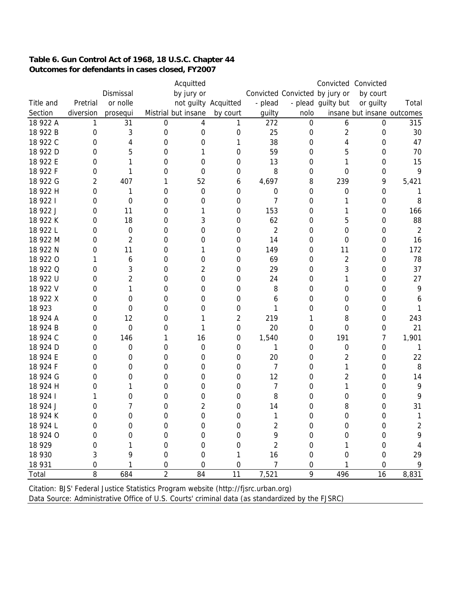## **Table 6. Gun Control Act of 1968, 18 U.S.C. Chapter 44 Outcomes for defendants in cases closed, FY2007**

|           |              |                  |                | Acquitted           |                      |                |                                |                    | Convicted Convicted        |                |
|-----------|--------------|------------------|----------------|---------------------|----------------------|----------------|--------------------------------|--------------------|----------------------------|----------------|
|           |              | Dismissal        |                | by jury or          |                      |                | Convicted Convicted by jury or |                    | by court                   |                |
| Title and | Pretrial     | or nolle         |                |                     | not guilty Acquitted | - plead        |                                | - plead guilty but | or guilty                  | Total          |
| Section   | diversion    | prosequi         |                | Mistrial but insane | by court             | guilty         | nolo                           |                    | insane but insane outcomes |                |
| 18 922 A  | 1            | 31               | 0              | 4                   | 1                    | 272            | 0                              | 6                  | 0                          | 315            |
| 18 922 B  | 0            | 3                | 0              | 0                   | 0                    | 25             | 0                              | 2                  | 0                          | 30             |
| 18 922 C  | 0            | 4                | 0              | 0                   | 1                    | 38             | 0                              | 4                  | 0                          | 47             |
| 18 922 D  | 0            | 5                | 0              |                     | 0                    | 59             | 0                              | 5                  | 0                          | 70             |
| 18 922 E  | 0            | 1                | 0              | 0                   | 0                    | 13             | 0                              | 1                  | 0                          | 15             |
| 18 922 F  | 0            | 1                | 0              | 0                   | 0                    | 8              | 0                              | 0                  | 0                          | 9              |
| 18 922 G  | 2            | 407              | 1              | 52                  | 6                    | 4,697          | 8                              | 239                | 9                          | 5,421          |
| 18 922 H  | 0            | 1                | 0              | 0                   | 0                    | 0              | 0                              | 0                  | 0                          |                |
| 18 922 1  | 0            | 0                | 0              | 0                   | $\mathbf 0$          | 7              | 0                              | Τ                  | 0                          | 8              |
| 18 922 J  | 0            | 11               | 0              | 1                   | 0                    | 153            | 0                              | 1                  | 0                          | 166            |
| 18 922 K  | 0            | 18               | 0              | 3                   | 0                    | 62             | 0                              | 5                  | 0                          | 88             |
| 18 922 L  | 0            | $\boldsymbol{0}$ | 0              | 0                   | 0                    | $\overline{2}$ | 0                              | 0                  | 0                          | $\overline{2}$ |
| 18 922 M  | 0            | $\overline{2}$   | 0              | 0                   | 0                    | 14             | 0                              | 0                  | 0                          | 16             |
| 18 922 N  | 0            | 11               | 0              | 1                   | 0                    | 149            | 0                              | 11                 | $\boldsymbol{0}$           | 172            |
| 18 922 0  | Τ            | 6                | 0              | 0                   | 0                    | 69             | 0                              | 2                  | 0                          | 78             |
| 18 922 Q  | 0            | 3                | 0              | 2                   | $\mathbf 0$          | 29             | 0                              | 3                  | 0                          | 37             |
| 18 922 U  | 0            | 2                | 0              | 0                   | 0                    | 24             | 0                              | 1                  | 0                          | 27             |
| 18 922 V  | 0            | 1                | 0              | 0                   | 0                    | 8              | 0                              | 0                  | 0                          | 9              |
| 18 922 X  | 0            | 0                | 0              | 0                   | 0                    | 6              | 0                              | 0                  | 0                          | 6              |
| 18 923    | 0            | 0                | 0              | 0                   | 0                    | 1              | 0                              | 0                  | 0                          | 1              |
| 18 924 A  | 0            | 12               | 0              | 1                   | 2                    | 219            | 1                              | 8                  | 0                          | 243            |
| 18 924 B  | 0            | $\mathbf 0$      | 0              | 1                   | $\mathbf 0$          | 20             | 0                              | 0                  | 0                          | 21             |
| 18 924 C  | 0            | 146              |                | 16                  | 0                    | 1,540          | 0                              | 191                | 7                          | 1,901          |
| 18 924 D  | 0            | 0                | 0              | $\mathbf 0$         | $\mathbf 0$          | 1              | 0                              | 0                  | 0                          | -1             |
| 18 924 E  | 0            | 0                | 0              | 0                   | 0                    | 20             | 0                              | 2                  | 0                          | 22             |
| 18 924 F  | 0            | 0                | 0              | 0                   | 0                    | 7              | 0                              | 1                  | 0                          | 8              |
| 18 924 G  | 0            | 0                | 0              | 0                   | 0                    | 12             | 0                              | 2                  | 0                          | 14             |
| 18 924 H  | 0            | 1                | 0              | 0                   | 0                    | 7              | 0                              | 1                  | 0                          | 9              |
| 18 924 1  |              | 0                | 0              | 0                   | 0                    | 8              | 0                              | 0                  | 0                          | 9              |
| 18 924 J  | 0            | 7                | 0              | 2                   | 0                    | 14             | 0                              | 8                  | 0                          | 31             |
| 18 924 K  | <sup>n</sup> | 0                | U              | <sup>n</sup>        | <sup>n</sup>         | 1              | 0                              | U                  | 0                          | 1              |
| 18 924 L  | 0            | 0                | 0              | 0                   | 0                    | 2              | 0                              | 0                  | 0                          | $\overline{2}$ |
| 18 924 O  | 0            | 0                | 0              | 0                   | 0                    | 9              | 0                              | 0                  | 0                          | 9              |
| 18 9 29   | 0            |                  | 0              | 0                   | 0                    | 2              | 0                              |                    | 0                          | 4              |
| 18 930    | 3            | 9                | 0              | 0                   |                      | 16             | 0                              | 0                  | 0                          | 29             |
| 18 931    | 0            |                  | 0              | 0                   | 0                    | 7              | 0                              |                    | 0                          | 9              |
| Total     | 8            | 684              | $\overline{2}$ | 84                  | 11                   | 7,521          | 9                              | 496                | 16                         | 8,831          |

Citation: BJS' Federal Justice Statistics Program website (http://fjsrc.urban.org)

Data Source: Administrative Office of U.S. Courts' criminal data (as standardized by the FJSRC)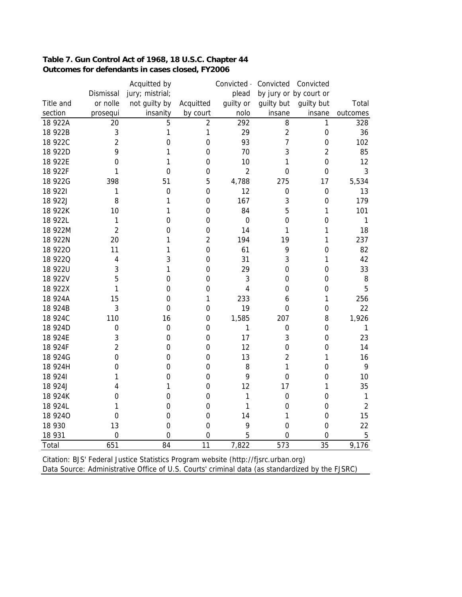| Table 7. Gun Control Act of 1968, 18 U.S.C. Chapter 44 |
|--------------------------------------------------------|
| Outcomes for defendants in cases closed, FY2006        |

|                |                | Acquitted by     |                  | Convicted      | Convicted        | Convicted              |                |
|----------------|----------------|------------------|------------------|----------------|------------------|------------------------|----------------|
|                | Dismissal      | jury; mistrial;  |                  | plead          |                  | by jury or by court or |                |
| Title and      | or nolle       | not guilty by    | Acquitted        | guilty or      | guilty but       | guilty but             | Total          |
| section        | prosequi       | insanity         | by court         | nolo           | insane           | insane                 | outcomes       |
| 18 922A        | 20             | 5                | $\overline{2}$   | 292            | 8                | 1                      | 328            |
| 18 922B        | 3              | 1                | 1                | 29             | $\overline{2}$   | $\mathbf 0$            | 36             |
| 18 922C        | $\overline{2}$ | $\overline{0}$   | $\boldsymbol{0}$ | 93             | 7                | $\mathbf 0$            | 102            |
| 18 922D        | 9              | 1                | $\mathbf 0$      | 70             | 3                | $\overline{2}$         | 85             |
| 18 922E        | 0              | 1                | $\boldsymbol{0}$ | 10             | 1                | $\mathbf 0$            | 12             |
| 18 922F        | 1              | $\mathbf 0$      | $\boldsymbol{0}$ | $\overline{2}$ | $\mathbf 0$      | $\boldsymbol{0}$       | 3              |
| 18 922G        | 398            | 51               | 5                | 4,788          | 275              | 17                     | 5,534          |
| 18 9221        | 1              | $\mathbf 0$      | $\boldsymbol{0}$ | 12             | 0                | $\boldsymbol{0}$       | 13             |
| 18 922J        | 8              | 1                | $\mathbf 0$      | 167            | 3                | $\mathbf 0$            | 179            |
| 18 922K        | 10             | 1                | $\boldsymbol{0}$ | 84             | 5                | 1                      | 101            |
| 18 922L        | 1              | $\overline{0}$   | $\mathbf 0$      | $\mathbf 0$    | $\mathbf 0$      | $\mathbf 0$            | 1              |
| 18 922M        | $\overline{2}$ | 0                | 0                | 14             | 1                | 1                      | 18             |
| 18 922N        | 20             | 1                | $\overline{2}$   | 194            | 19               | 1                      | 237            |
| 18 9220        | 11             | 1                | $\boldsymbol{0}$ | 61             | 9                | $\mathbf 0$            | 82             |
| <b>18 9220</b> | 4              | 3                | $\mathbf 0$      | 31             | 3                | 1                      | 42             |
| 18 922U        | 3              | 1                | $\boldsymbol{0}$ | 29             | $\mathbf 0$      | $\mathbf 0$            | 33             |
| 18 922V        | 5              | $\mathbf 0$      | $\mathbf 0$      | 3              | $\mathbf 0$      | $\mathbf 0$            | 8              |
| 18 922X        | 1              | $\mathbf 0$      | $\boldsymbol{0}$ | 4              | $\mathbf 0$      | $\mathbf 0$            | 5              |
| 18 924A        | 15             | $\boldsymbol{0}$ | $\mathbf{1}$     | 233            | 6                | 1                      | 256            |
| 18 924B        | 3              | $\overline{0}$   | $\boldsymbol{0}$ | 19             | 0                | $\mathbf 0$            | 22             |
| 18 924C        | 110            | 16               | $\boldsymbol{0}$ | 1,585          | 207              | 8                      | 1,926          |
| 18 924D        | 0              | $\mathbf 0$      | 0                | 1              | 0                | $\boldsymbol{0}$       | $\mathbf{1}$   |
| 18 924E        | 3              | $\boldsymbol{0}$ | $\boldsymbol{0}$ | 17             | 3                | 0                      | 23             |
| 18 924F        | $\overline{2}$ | $\boldsymbol{0}$ | $\boldsymbol{0}$ | 12             | $\mathbf 0$      | $\mathbf 0$            | 14             |
| 18 924G        | $\mathbf 0$    | $\boldsymbol{0}$ | $\boldsymbol{0}$ | 13             | $\overline{2}$   | 1                      | 16             |
| 18 924H        | 0              | $\boldsymbol{0}$ | $\mathbf 0$      | 8              | 1                | $\mathbf 0$            | 9              |
| 18 9241        | 1              | $\boldsymbol{0}$ | $\boldsymbol{0}$ | 9              | $\mathbf 0$      | $\boldsymbol{0}$       | 10             |
| 18 924J        | 4              | 1                | $\boldsymbol{0}$ | 12             | 17               | 1                      | 35             |
| 18 924K        | 0              | $\boldsymbol{0}$ | $\boldsymbol{0}$ | 1              | $\mathbf 0$      | $\mathbf 0$            | $\mathbf{1}$   |
| 18 924L        | 1              | $\mathbf 0$      | $\mathbf 0$      | 1              | 0                | $\mathbf 0$            | $\overline{2}$ |
| 18 9240        | 0              | $\boldsymbol{0}$ | $\mathbf 0$      | 14             | 1                | $\mathbf 0$            | 15             |
| 18 930         | 13             | $\mathbf 0$      | $\mathbf 0$      | 9              | 0                | $\mathbf 0$            | 22             |
| 18 931         | 0              | 0                | $\mathbf 0$      | 5              | $\mathbf 0$      | 0                      | $\sqrt{5}$     |
| Total          | 651            | 84               | $\overline{11}$  | 7,822          | $\overline{573}$ | $\overline{35}$        | 9,176          |

Citation: BJS' Federal Justice Statistics Program website (http://fjsrc.urban.org) Data Source: Administrative Office of U.S. Courts' criminal data (as standardized by the FJSRC)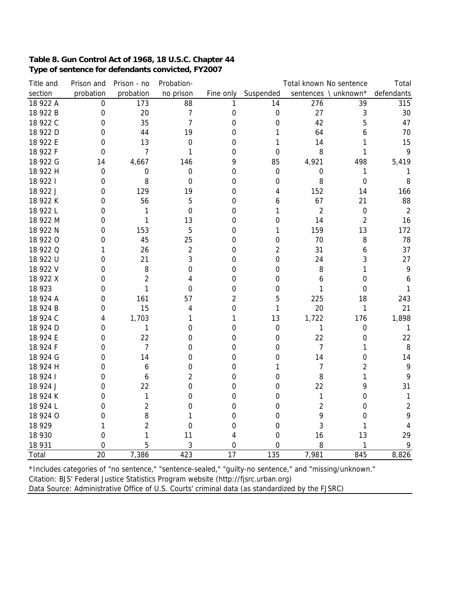### **Table 8. Gun Control Act of 1968, 18 U.S.C. Chapter 44 Type of sentence for defendants convicted, FY2007**

| Title and | Prison and  | Prison - no    | Probation-              |                 |             | Total known No sentence |                      | Total          |
|-----------|-------------|----------------|-------------------------|-----------------|-------------|-------------------------|----------------------|----------------|
| section   | probation   | probation      | no prison               | Fine only       | Suspended   |                         | sentences \ unknown* | defendants     |
| 18 922 A  | $\mathbf 0$ | 173            | 88                      | 1               | 14          | 276                     | 39                   | 315            |
| 18 922 B  | $\mathbf 0$ | 20             | $\overline{7}$          | 0               | $\mathbf 0$ | 27                      | 3                    | 30             |
| 18 922 C  | 0           | 35             | $\overline{7}$          | 0               | $\mathbf 0$ | 42                      | 5                    | 47             |
| 18 922 D  | 0           | 44             | 19                      | 0               | 1           | 64                      | 6                    | 70             |
| 18 922 E  | $\Omega$    | 13             | $\mathbf 0$             | 0               | 1           | 14                      | 1                    | 15             |
| 18 922 F  | 0           | 7              | 1                       | 0               | 0           | 8                       | 1                    | 9              |
| 18 922 G  | 14          | 4,667          | 146                     | 9               | 85          | 4,921                   | 498                  | 5,419          |
| 18 922 H  | 0           | 0              | 0                       | 0               | 0           | 0                       | 1                    | 1              |
| 18 922 1  | $\Omega$    | 8              | $\Omega$                | 0               | $\mathbf 0$ | 8                       | $\mathbf 0$          | 8              |
| 18 922 J  | 0           | 129            | 19                      | 0               | 4           | 152                     | 14                   | 166            |
| 18 922 K  | 0           | 56             | 5                       | 0               | 6           | 67                      | 21                   | 88             |
| 18 922 L  | 0           | 1              | 0                       | 0               | 1           | $\overline{2}$          | $\mathbf 0$          | $\overline{2}$ |
| 18 922 M  | $\mathbf 0$ | $\mathbf{1}$   | 13                      | 0               | $\mathbf 0$ | 14                      | $\overline{2}$       | 16             |
| 18 922 N  | 0           | 153            | 5                       | 0               | 1           | 159                     | 13                   | 172            |
| 18 922 0  | 0           | 45             | 25                      | $\mathbf 0$     | $\mathbf 0$ | 70                      | 8                    | 78             |
| 18 922 Q  | 1           | 26             | $\overline{\mathbf{c}}$ | 0               | 2           | 31                      | 6                    | 37             |
| 18 922 U  | 0           | 21             | 3                       | 0               | $\mathbf 0$ | 24                      | 3                    | 27             |
| 18 922 V  | $\Omega$    | 8              | 0                       | 0               | $\Omega$    | 8                       | 1                    | 9              |
| 18 922 X  | 0           | $\overline{2}$ | 4                       | 0               | 0           | 6                       | 0                    | 6              |
| 18 923    | 0           | 1              | 0                       | 0               | $\mathbf 0$ | 1                       | $\mathbf 0$          | $\mathbf{1}$   |
| 18 924 A  | 0           | 161            | 57                      | $\overline{c}$  | 5           | 225                     | 18                   | 243            |
| 18 924 B  | $\Omega$    | 15             | 4                       | 0               | 1           | 20                      | 1                    | 21             |
| 18 924 C  | 4           | 1,703          | 1                       | 1               | 13          | 1,722                   | 176                  | 1,898          |
| 18 924 D  | 0           | 1              | 0                       | 0               | $\mathbf 0$ | 1                       | $\mathbf 0$          | $\mathbf{1}$   |
| 18 924 E  | 0           | 22             | 0                       | 0               | 0           | 22                      | $\mathbf 0$          | 22             |
| 18 924 F  | 0           | $\overline{7}$ | 0                       | 0               | 0           | 7                       | 1                    | 8              |
| 18 924 G  | 0           | 14             | 0                       | 0               | 0           | 14                      | $\boldsymbol{0}$     | 14             |
| 18 924 H  | 0           | 6              | 0                       | 0               | 1           | 7                       | $\overline{2}$       | 9              |
| 18 9 24 1 | 0           | 6              | $\overline{2}$          | 0               | 0           | 8                       | 1                    | 9              |
| 18 924 J  | 0           | 22             | 0                       | 0               | 0           | 22                      | 9                    | 31             |
| 18 924 K  | 0           | 1              | 0                       | 0               | 0           | 1                       | 0                    | $\mathbf{1}$   |
| 18 924 L  | 0           | $\overline{2}$ | 0                       | 0               | 0           | $\overline{c}$          | 0                    | $\sqrt{2}$     |
| 18 924 O  | 0           | 8              | 1                       | 0               | 0           | 9                       | 0                    | 9              |
| 18 9 29   | 1           | 2              | 0                       | $\mathbf 0$     | $\mathbf 0$ | 3                       | 1                    | 4              |
| 18 930    | 0           | 1              | 11                      | 4               | $\mathbf 0$ | 16                      | 13                   | 29             |
| 18 931    | $\Omega$    | 5              | 3                       | 0               | $\mathbf 0$ | 8                       | 1                    | 9              |
| Total     | 20          | 7,386          | 423                     | $\overline{17}$ | 135         | 7,981                   | 845                  | 8,826          |

Citation: BJS' Federal Justice Statistics Program website (http://fjsrc.urban.org) Data Source: Administrative Office of U.S. Courts' criminal data (as standardized by the FJSRC) \*Includes categories of "no sentence," "sentence-sealed," "guilty-no sentence," and "missing/unknown."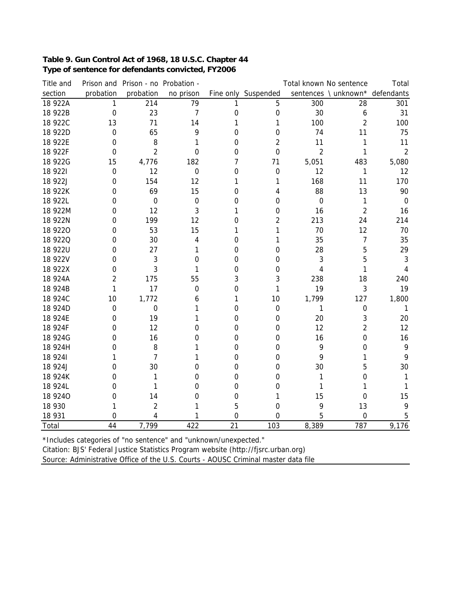## **Table 9. Gun Control Act of 1968, 18 U.S.C. Chapter 44 Type of sentence for defendants convicted, FY2006**

| Title and |                | Prison and Prison - no Probation - |                  |    |                     |                | Total known No sentence         | Total        |
|-----------|----------------|------------------------------------|------------------|----|---------------------|----------------|---------------------------------|--------------|
| section   | probation      | probation                          | no prison        |    | Fine only Suspended |                | sentences \ unknown* defendants |              |
| 18 922A   | 1              | 214                                | 79               | 1  | 5                   | 300            | 28                              | 301          |
| 18 922B   | $\mathbf 0$    | 23                                 | $\overline{7}$   | 0  | 0                   | 30             | 6                               | 31           |
| 18 922C   | 13             | 71                                 | 14               | 1  | 1                   | 100            | $\overline{2}$                  | 100          |
| 18 922D   | $\overline{0}$ | 65                                 | 9                | 0  | 0                   | 74             | 11                              | 75           |
| 18 922E   | 0              | 8                                  |                  | 0  | $\overline{2}$      | 11             | 1                               | 11           |
| 18 922F   | 0              | $\overline{2}$                     | 0                | 0  | $\mathbf 0$         | $\overline{2}$ | 1                               | $\sqrt{2}$   |
| 18 922G   | 15             | 4,776                              | 182              | 7  | 71                  | 5,051          | 483                             | 5,080        |
| 18 9221   | 0              | 12                                 | $\mathbf 0$      | 0  | $\mathbf 0$         | 12             | 1                               | 12           |
| 18 922J   | 0              | 154                                | 12               | 1  | 1                   | 168            | 11                              | 170          |
| 18 922K   | 0              | 69                                 | 15               | 0  | 4                   | 88             | 13                              | 90           |
| 18 922L   | 0              | $\boldsymbol{0}$                   | $\boldsymbol{0}$ | 0  | 0                   | $\mathbf 0$    | 1                               | $\mathbf 0$  |
| 18 922M   | 0              | 12                                 | 3                | 1  | 0                   | 16             | $\overline{2}$                  | 16           |
| 18 922N   | 0              | 199                                | 12               | 0  | $\overline{2}$      | 213            | 24                              | 214          |
| 18 9220   | 0              | 53                                 | 15               | 1  | 1                   | 70             | 12                              | 70           |
| 18 9220   | 0              | 30                                 | 4                | 0  | 1                   | 35             | 7                               | 35           |
| 18 922U   | 0              | 27                                 | 1                | 0  | $\mathbf 0$         | 28             | 5                               | 29           |
| 18 922V   | 0              | 3                                  | 0                | 0  | 0                   | 3              | 5                               | 3            |
| 18 922X   | 0              | 3                                  | 1                | 0  | 0                   | 4              | 1                               |              |
| 18 924A   | 2              | 175                                | 55               | 3  | 3                   | 238            | 18                              | 240          |
| 18 924B   | 1              | 17                                 | $\mathbf 0$      | 0  | 1                   | 19             | 3                               | 19           |
| 18 924C   | 10             | 1,772                              | 6                | 1  | 10                  | 1,799          | 127                             | 1,800        |
| 18 924D   | 0              | 0                                  | 1                | 0  | $\mathbf 0$         | 1              | $\mathbf 0$                     | $\mathbf{1}$ |
| 18 924E   | 0              | 19                                 | 1                | 0  | $\mathbf 0$         | 20             | 3                               | 20           |
| 18 924F   | 0              | 12                                 | 0                | 0  | 0                   | 12             | $\overline{2}$                  | 12           |
| 18 924G   | 0              | 16                                 | 0                | 0  | 0                   | 16             | 0                               | 16           |
| 18 924H   | 0              | 8                                  | 1                | 0  | $\boldsymbol{0}$    | 9              | 0                               | 9            |
| 18 9241   |                | 7                                  | 1                | 0  | $\mathbf 0$         | 9              | 1                               | 9            |
| 18 924J   | 0              | 30                                 | 0                | 0  | $\mathbf 0$         | 30             | 5                               | 30           |
| 18 924K   | 0              | 1                                  | 0                | 0  | 0                   | 1              | 0                               | 1            |
| 18 924L   | 0              | 1                                  | 0                | 0  | 0                   | 1              |                                 | 1            |
| 18 9240   | 0              | 14                                 | 0                | 0  | 1                   | 15             | 0                               | 15           |
| 18 930    |                | $\overline{2}$                     | 1                | 5  | 0                   | 9              | 13                              | 9            |
| 18 931    | 0              | 4                                  |                  | 0  | 0                   | 5              | 0                               | 5            |
| Total     | 44             | 7,799                              | 422              | 21 | 103                 | 8,389          | 787                             | 9,176        |

\*Includes categories of "no sentence" and "unknown/unexpected."

Citation: BJS' Federal Justice Statistics Program website (http://fjsrc.urban.org)

Source: Administrative Office of the U.S. Courts - AOUSC Criminal master data file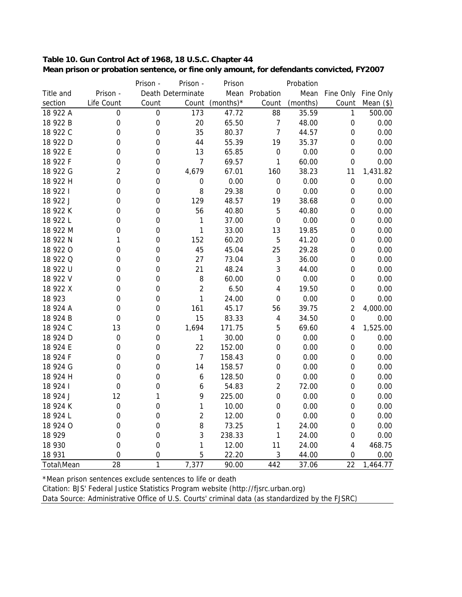| Table 10. Gun Control Act of 1968, 18 U.S.C. Chapter 44                                  |  |
|------------------------------------------------------------------------------------------|--|
| Mean prison or probation sentence, or fine only amount, for defendants convicted, FY2007 |  |

|            |                  | Prison -         | Prison -          | Prison       |                         | Probation |                         |           |
|------------|------------------|------------------|-------------------|--------------|-------------------------|-----------|-------------------------|-----------|
| Title and  | Prison -         |                  | Death Determinate |              | Mean Probation          | Mean      | Fine Only               | Fine Only |
| section    | Life Count       | Count            | Count             | (months) $*$ | Count                   | (months)  | Count                   | Mean $($  |
| 18 922 A   | 0                | $\mathbf 0$      | 173               | 47.72        | 88                      | 35.59     | $\mathbf{1}$            | 500.00    |
| 18 922 B   | $\boldsymbol{0}$ | $\mathbf 0$      | 20                | 65.50        | $\overline{7}$          | 48.00     | $\boldsymbol{0}$        | 0.00      |
| 18 922 C   | $\mathbf 0$      | $\boldsymbol{0}$ | 35                | 80.37        | $\overline{7}$          | 44.57     | $\mathbf 0$             | 0.00      |
| 18 922 D   | $\mathbf 0$      | 0                | 44                | 55.39        | 19                      | 35.37     | $\boldsymbol{0}$        | 0.00      |
| 18 922 E   | 0                | $\overline{0}$   | 13                | 65.85        | $\boldsymbol{0}$        | 0.00      | $\boldsymbol{0}$        | 0.00      |
| 18 922 F   | $\mathbf 0$      | $\boldsymbol{0}$ | $\overline{7}$    | 69.57        | 1                       | 60.00     | $\boldsymbol{0}$        | 0.00      |
| 18 922 G   | $\overline{2}$   | $\boldsymbol{0}$ | 4,679             | 67.01        | 160                     | 38.23     | 11                      | 1,431.82  |
| 18 922 H   | $\mathbf 0$      | $\mathbf 0$      | $\boldsymbol{0}$  | 0.00         | $\boldsymbol{0}$        | 0.00      | $\boldsymbol{0}$        | 0.00      |
| 18 922 1   | $\mathbf 0$      | $\mathbf 0$      | 8                 | 29.38        | $\boldsymbol{0}$        | 0.00      | $\boldsymbol{0}$        | 0.00      |
| 18 922 J   | $\mathbf 0$      | $\overline{0}$   | 129               | 48.57        | 19                      | 38.68     | $\mathbf 0$             | 0.00      |
| 18 922 K   | $\mathbf 0$      | 0                | 56                | 40.80        | 5                       | 40.80     | $\boldsymbol{0}$        | 0.00      |
| 18 922 L   | $\mathbf 0$      | $\boldsymbol{0}$ | 1                 | 37.00        | $\mathbf 0$             | 0.00      | $\boldsymbol{0}$        | 0.00      |
| 18 922 M   | $\mathbf 0$      | 0                | 1                 | 33.00        | 13                      | 19.85     | $\boldsymbol{0}$        | 0.00      |
| 18 922 N   | 1                | $\boldsymbol{0}$ | 152               | 60.20        | 5                       | 41.20     | $\boldsymbol{0}$        | 0.00      |
| 18 922 0   | $\boldsymbol{0}$ | $\boldsymbol{0}$ | 45                | 45.04        | 25                      | 29.28     | $\boldsymbol{0}$        | 0.00      |
| 18 922 Q   | $\mathbf 0$      | $\mathbf 0$      | 27                | 73.04        | 3                       | 36.00     | $\boldsymbol{0}$        | 0.00      |
| 18 922 U   | $\mathbf 0$      | $\mathbf 0$      | 21                | 48.24        | 3                       | 44.00     | $\boldsymbol{0}$        | 0.00      |
| 18 922 V   | $\mathbf 0$      | $\overline{0}$   | $\, 8$            | 60.00        | $\boldsymbol{0}$        | 0.00      | $\mathbf 0$             | 0.00      |
| 18 922 X   | $\mathbf 0$      | $\boldsymbol{0}$ | $\overline{2}$    | 6.50         | 4                       | 19.50     | $\boldsymbol{0}$        | 0.00      |
| 18 923     | $\mathbf 0$      | $\boldsymbol{0}$ | 1                 | 24.00        | $\boldsymbol{0}$        | 0.00      | $\boldsymbol{0}$        | 0.00      |
| 18 924 A   | $\mathbf 0$      | $\mathbf 0$      | 161               | 45.17        | 56                      | 39.75     | $\boldsymbol{2}$        | 4,000.00  |
| 18 924 B   | $\mathbf 0$      | $\boldsymbol{0}$ | 15                | 83.33        | $\overline{\mathbf{4}}$ | 34.50     | $\boldsymbol{0}$        | 0.00      |
| 18 924 C   | 13               | $\boldsymbol{0}$ | 1,694             | 171.75       | 5                       | 69.60     | $\overline{\mathbf{4}}$ | 1,525.00  |
| 18 924 D   | $\mathbf 0$      | $\boldsymbol{0}$ | 1                 | 30.00        | $\boldsymbol{0}$        | 0.00      | $\boldsymbol{0}$        | 0.00      |
| 18 924 E   | $\mathbf 0$      | $\mathbf 0$      | 22                | 152.00       | $\boldsymbol{0}$        | 0.00      | $\boldsymbol{0}$        | 0.00      |
| 18 924 F   | $\mathbf 0$      | $\mathbf 0$      | $\overline{7}$    | 158.43       | $\boldsymbol{0}$        | 0.00      | $\boldsymbol{0}$        | 0.00      |
| 18 924 G   | $\mathbf 0$      | $\boldsymbol{0}$ | 14                | 158.57       | $\boldsymbol{0}$        | 0.00      | $\boldsymbol{0}$        | 0.00      |
| 18 924 H   | $\overline{0}$   | $\overline{0}$   | 6                 | 128.50       | $\boldsymbol{0}$        | 0.00      | $\boldsymbol{0}$        | 0.00      |
| 18 924 1   | $\mathbf 0$      | $\overline{0}$   | 6                 | 54.83        | $\overline{2}$          | 72.00     | $\boldsymbol{0}$        | 0.00      |
| 18 924 J   | 12               | 1                | 9                 | 225.00       | $\boldsymbol{0}$        | 0.00      | $\boldsymbol{0}$        | 0.00      |
| 18 924 K   | $\mathbf 0$      | $\mathbf 0$      | 1                 | 10.00        | $\mathbf 0$             | 0.00      | $\pmb{0}$               | 0.00      |
| 18 924 L   | $\mathbf 0$      | $\mathbf 0$      | $\overline{2}$    | 12.00        | $\boldsymbol{0}$        | 0.00      | $\boldsymbol{0}$        | 0.00      |
| 18 924 O   | $\mathbf 0$      | $\boldsymbol{0}$ | 8                 | 73.25        | 1                       | 24.00     | $\boldsymbol{0}$        | 0.00      |
| 18 9 29    | $\mathbf 0$      | $\mathbf 0$      | 3                 | 238.33       | 1                       | 24.00     | $\boldsymbol{0}$        | 0.00      |
| 18 930     | $\mathbf 0$      | $\boldsymbol{0}$ | 1                 | 12.00        | 11                      | 24.00     | $\overline{4}$          | 468.75    |
| 18 931     | $\mathbf 0$      | $\overline{0}$   | 5                 | 22.20        | 3                       | 44.00     | $\mathbf 0$             | 0.00      |
| Total\Mean | 28               | $\mathbf{1}$     | 7,377             | 90.00        | 442                     | 37.06     | 22                      | 1,464.77  |

\*Mean prison sentences exclude sentences to life or death

Citation: BJS' Federal Justice Statistics Program website (http://fjsrc.urban.org)

Data Source: Administrative Office of U.S. Courts' criminal data (as standardized by the FJSRC)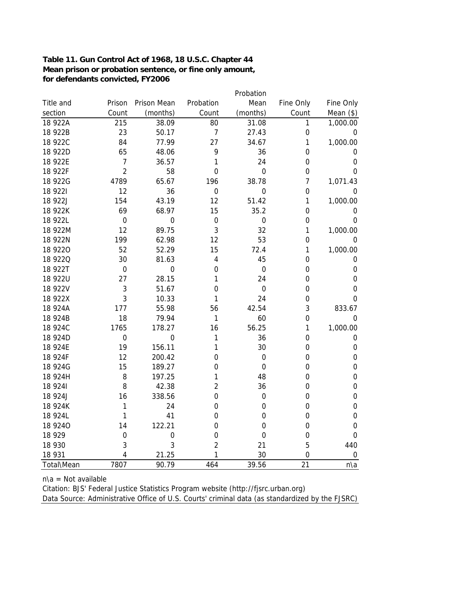#### **Table 11. Gun Control Act of 1968, 18 U.S.C. Chapter 44 Mean prison or probation sentence, or fine only amount, for defendants convicted, FY2006**

|                |                |                  |                         | Probation        |                  |                  |
|----------------|----------------|------------------|-------------------------|------------------|------------------|------------------|
| Title and      | Prison         | Prison Mean      | Probation               | Mean             | Fine Only        | Fine Only        |
| section        | Count          | (months)         | Count                   | (months)         | Count            | Mean $(*)$       |
| 18 922A        | 215            | 38.09            | 80                      | 31.08            | 1                | 1,000.00         |
| 18 922B        | 23             | 50.17            | $\overline{7}$          | 27.43            | $\boldsymbol{0}$ | $\boldsymbol{0}$ |
| 18 922C        | 84             | 77.99            | 27                      | 34.67            | 1                | 1,000.00         |
| 18 922D        | 65             | 48.06            | 9                       | 36               | $\boldsymbol{0}$ | 0                |
| 18 922E        | $\overline{7}$ | 36.57            | 1                       | 24               | 0                | $\boldsymbol{0}$ |
| 18 922F        | $\overline{2}$ | 58               | $\mathbf 0$             | $\mathbf 0$      | $\mathbf 0$      | 0                |
| 18 922G        | 4789           | 65.67            | 196                     | 38.78            | $\overline{7}$   | 1,071.43         |
| 18 9221        | 12             | 36               | $\mathbf 0$             | $\boldsymbol{0}$ | $\boldsymbol{0}$ | 0                |
| 18 922J        | 154            | 43.19            | 12                      | 51.42            | 1                | 1,000.00         |
| 18 922K        | 69             | 68.97            | 15                      | 35.2             | $\boldsymbol{0}$ | $\boldsymbol{0}$ |
| 18 922L        | $\mathbf 0$    | $\boldsymbol{0}$ | 0                       | $\boldsymbol{0}$ | $\boldsymbol{0}$ | $\mathbf 0$      |
| 18 922M        | 12             | 89.75            | 3                       | 32               | 1                | 1,000.00         |
| 18 922N        | 199            | 62.98            | 12                      | 53               | $\boldsymbol{0}$ | 0                |
| 18 9220        | 52             | 52.29            | 15                      | 72.4             | 1                | 1,000.00         |
| <b>18 9220</b> | 30             | 81.63            | $\overline{\mathbf{4}}$ | 45               | 0                | $\boldsymbol{0}$ |
| 18 922T        | $\mathbf 0$    | $\mathbf 0$      | $\mathbf 0$             | $\mathbf 0$      | $\mathbf 0$      | $\boldsymbol{0}$ |
| 18 922U        | 27             | 28.15            | 1                       | 24               | $\mathbf 0$      | $\boldsymbol{0}$ |
| 18 922V        | 3              | 51.67            | $\mathbf 0$             | $\mathbf 0$      | $\mathbf 0$      | $\mathbf 0$      |
| 18 922X        | 3              | 10.33            | 1                       | 24               | $\mathbf 0$      | $\mathbf 0$      |
| 18 924A        | 177            | 55.98            | 56                      | 42.54            | 3                | 833.67           |
| 18 924B        | 18             | 79.94            | 1                       | 60               | $\mathbf 0$      | $\mathbf 0$      |
| 18 924C        | 1765           | 178.27           | 16                      | 56.25            | 1                | 1,000.00         |
| 18 924D        | $\mathbf 0$    | $\mathbf 0$      | 1                       | 36               | $\mathbf 0$      | $\boldsymbol{0}$ |
| 18 924E        | 19             | 156.11           | 1                       | 30               | $\mathbf 0$      | $\boldsymbol{0}$ |
| 18 924F        | 12             | 200.42           | 0                       | $\mathbf 0$      | $\boldsymbol{0}$ | $\boldsymbol{0}$ |
| 18 924G        | 15             | 189.27           | 0                       | $\mathbf 0$      | 0                | $\boldsymbol{0}$ |
| 18 924H        | 8              | 197.25           | 1                       | 48               | $\mathbf 0$      | $\mathbf 0$      |
| 18 9 24 1      | 8              | 42.38            | $\overline{2}$          | 36               | 0                | $\mathbf 0$      |
| 18 924J        | 16             | 338.56           | 0                       | $\mathbf 0$      | $\mathbf 0$      | $\mathbf 0$      |
| 18 924K        | 1              | 24               | $\overline{0}$          | $\mathbf 0$      | $\mathbf 0$      | $\boldsymbol{0}$ |
| 18 924L        | 1              | 41               | 0                       | 0                | $\mathbf 0$      | $\boldsymbol{0}$ |
| 18 9240        | 14             | 122.21           | 0                       | $\overline{0}$   | 0                | $\mathbf 0$      |
| 18 9 29        | $\mathbf 0$    | $\boldsymbol{0}$ | $\mathbf 0$             | $\mathbf 0$      | $\mathbf 0$      | $\mathbf 0$      |
| 18 930         | 3              | 3                | $\overline{2}$          | 21               | 5                | 440              |
| 18 931         | 4              | 21.25            | 1                       | 30               | $\overline{0}$   | $\mbox{O}$       |
| Total\Mean     | 7807           | 90.79            | 464                     | 39.56            | 21               | n\a              |

 $n\$ a = Not available

Citation: BJS' Federal Justice Statistics Program website (http://fjsrc.urban.org)

Data Source: Administrative Office of U.S. Courts' criminal data (as standardized by the FJSRC)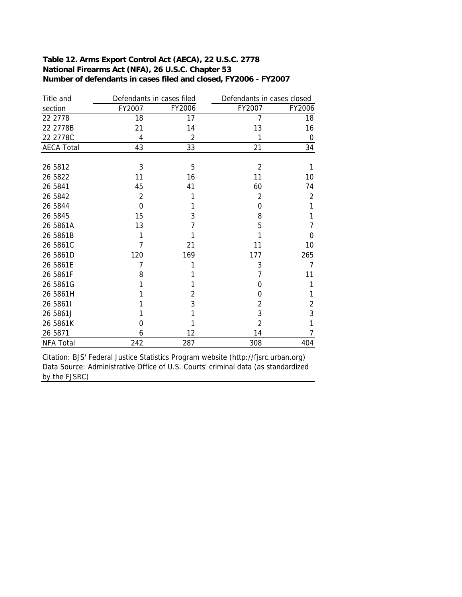#### **Number of defendants in cases filed and closed, FY2006 - FY2007 Table 12. Arms Export Control Act (AECA), 22 U.S.C. 2778 National Firearms Act (NFA), 26 U.S.C. Chapter 53**

| Title and         | Defendants in cases filed |                | Defendants in cases closed |             |  |  |
|-------------------|---------------------------|----------------|----------------------------|-------------|--|--|
| section           | FY2007                    | FY2006         | FY2007                     | FY2006      |  |  |
| 22 2778           | 18                        | 17             | 7                          | 18          |  |  |
| 22 2778B          | 21                        | 14             | 13                         | 16          |  |  |
| 22 2778C          | 4                         | $\overline{2}$ | 1                          | $\mathbf 0$ |  |  |
| <b>AECA Total</b> | 43                        | 33             | 21                         | 34          |  |  |
|                   |                           |                |                            |             |  |  |
| 26 5812           | 3                         | 5              | 2                          | 1           |  |  |
| 26 5822           | 11                        | 16             | 11                         | 10          |  |  |
| 26 5841           | 45                        | 41             | 60                         | 74          |  |  |
| 26 5842           | 2                         | 1              | $\overline{2}$             | 2           |  |  |
| 26 5844           | 0                         | 1              | 0                          | 1           |  |  |
| 26 5845           | 15                        | 3              | 8                          | 1           |  |  |
| 26 5861A          | 13                        | 7              | 5                          | 7           |  |  |
| 26 5861B          | 1                         |                |                            | $\Omega$    |  |  |
| 26 5861C          | 7                         | 21             | 11                         | 10          |  |  |
| 26 5861D          | 120                       | 169            | 177                        | 265         |  |  |
| 26 5861E          | 7                         | 1              | 3                          | 7           |  |  |
| 26 5861F          | 8                         |                | 7                          | 11          |  |  |
| 26 5861G          |                           | 1              | $\Omega$                   | 1           |  |  |
| 26 5861H          |                           | 2              | $\Omega$                   | 1           |  |  |
| 26 58611          |                           | 3              | $\overline{2}$             | 2           |  |  |
| 26 5861J          |                           |                | 3                          | 3           |  |  |
| 26 5861K          | 0                         |                | 2                          | 1           |  |  |
| 26 5871           | 6                         | 12             | 14                         | 7           |  |  |
| <b>NFA Total</b>  | 242                       | 287            | 308                        | 404         |  |  |

Citation: BJS' Federal Justice Statistics Program website (http://fjsrc.urban.org) Data Source: Administrative Office of U.S. Courts' criminal data (as standardized by the FJSRC)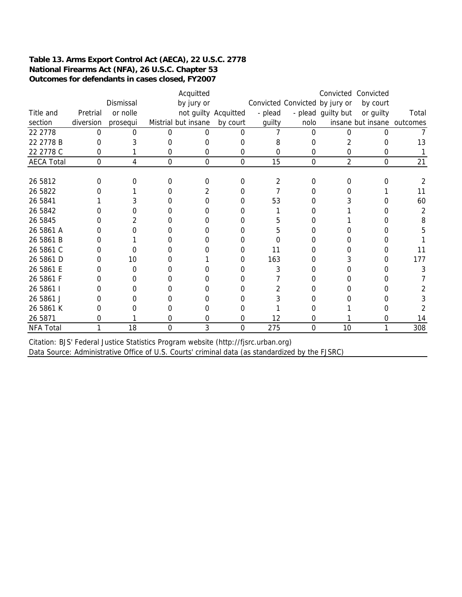#### **Table 13. Arms Export Control Act (AECA), 22 U.S.C. 2778 National Firearms Act (NFA), 26 U.S.C. Chapter 53 Outcomes for defendants in cases closed, FY2007**

|                   |           |           |              | Acquitted            |             |         |                                |                    |                            |       |
|-------------------|-----------|-----------|--------------|----------------------|-------------|---------|--------------------------------|--------------------|----------------------------|-------|
|                   |           | Dismissal |              | by jury or           |             |         | Convicted Convicted by jury or |                    | by court                   |       |
| Title and         | Pretrial  | or nolle  |              | not guilty Acquitted |             | - plead |                                | - plead guilty but | or guilty                  | Total |
| section           | diversion | prosequi  |              | Mistrial but insane  | by court    | guilty  | nolo                           |                    | insane but insane outcomes |       |
| 22 2778           | 0         |           | ∩            | O                    | U           |         | 0                              |                    |                            |       |
| 22 2778 B         |           |           |              |                      |             | 8       | O                              |                    | 0                          | 13    |
| 22 2778 C         | 0         |           | 0            | 0                    | 0           | 0       | 0                              | 0                  | 0                          |       |
| <b>AECA Total</b> | $\Omega$  | 4         | $\mathbf{0}$ | $\Omega$             | $\mathbf 0$ | 15      | $\overline{0}$                 | $\overline{2}$     | $\mathbf{0}$               | 21    |
|                   |           |           |              |                      |             |         |                                |                    |                            |       |
| 26 5812           | O         |           |              | O                    |             |         | 0                              |                    |                            |       |
| 26 5822           |           |           |              |                      |             |         | 0                              |                    |                            | 11    |
| 26 5841           |           |           |              |                      |             | 53      |                                |                    |                            | 60    |
| 26 5842           |           |           |              |                      |             |         | O                              |                    |                            | 2     |
| 26 5845           |           |           |              |                      |             |         |                                |                    |                            | 8     |
| 26 5861 A         |           |           |              |                      |             |         |                                |                    |                            |       |
| 26 5861 B         |           |           |              |                      |             |         |                                |                    |                            |       |
| 26 5861 C         |           |           |              |                      |             | 11      | O                              |                    | 0                          | 11    |
| 26 5861 D         |           | 10        |              |                      |             | 163     |                                |                    | 0                          | 177   |
| 26 5861 E         |           | 0         |              |                      |             | 3       | 0                              |                    | 0                          | 3     |
| 26 5861 F         |           |           |              |                      |             |         |                                |                    |                            |       |
| 26 5861 I         |           |           |              |                      |             |         |                                |                    |                            |       |
| 26 5861 J         |           |           |              |                      |             |         |                                |                    |                            |       |
| 26 5861 K         |           |           |              |                      |             |         |                                |                    |                            |       |
| 26 5871           | O         |           | O            | O                    | O           | 12      | O                              |                    | O                          | 14    |
| NFA Total         |           | 18        | 0            | 3                    | 0           | 275     | 0                              | 10                 |                            | 308   |

Data Source: Administrative Office of U.S. Courts' criminal data (as standardized by the FJSRC) Citation: BJS' Federal Justice Statistics Program website (http://fjsrc.urban.org)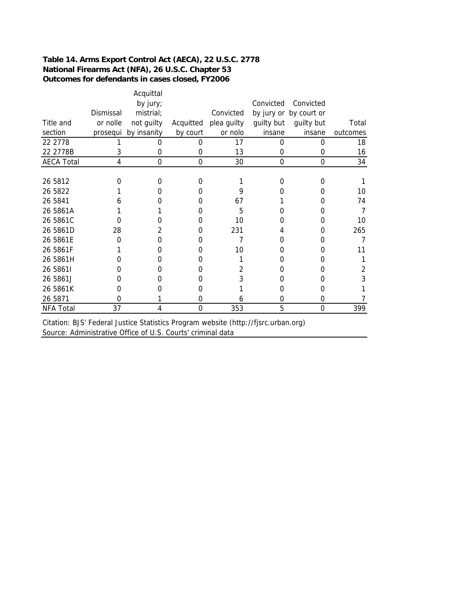#### **Table 14. Arms Export Control Act (AECA), 22 U.S.C. 2778 National Firearms Act (NFA), 26 U.S.C. Chapter 53 Outcomes for defendants in cases closed, FY2006**

|                   |           | Acquittal<br>by jury; |           |             | Convicted  | Convicted              |          |
|-------------------|-----------|-----------------------|-----------|-------------|------------|------------------------|----------|
|                   | Dismissal | mistrial;             |           | Convicted   |            | by jury or by court or |          |
| Title and         | or nolle  | not guilty            | Acquitted | plea guilty | guilty but | guilty but             | Total    |
| section           | prosequi  | by insanity           | by court  | or nolo     | insane     | insane                 | outcomes |
| 22 2778           |           |                       | 0         | 17          | O          | 0                      | 18       |
| 22 2778B          | 3         | 0                     | 0         | 13          | 0          | 0                      | 16       |
| <b>AECA Total</b> | 4         | 0                     | $\Omega$  | 30          | 0          | $\Omega$               | 34       |
|                   |           |                       |           |             |            |                        |          |
| 26 5812           | ი         | 0                     | 0         |             | 0          | O                      |          |
| 26 5822           |           |                       | O         | 9           |            | $\Omega$               | 10       |
| 26 5841           | h         |                       | O         | 67          |            | $\Omega$               | 74       |
| 26 5861A          |           |                       | 0         | 5           |            | O                      | 7        |
| 26 5861C          |           |                       | 0         | 10          | O          | $\Omega$               | 10       |
| 26 5861D          | 28        | 2                     | 0         | 231         | 4          | Ω                      | 265      |
| 26 5861E          | O         |                       | O         |             |            |                        | 7        |
| 26 5861F          |           | O                     | O         | 10          |            | O                      | 11       |
| 26 5861H          |           |                       | O         |             | 0          | Ω                      |          |
| 26 58611          |           | O                     | 0         |             | O          | $\Omega$               | 2        |
| 26 5861J          | O         |                       | O         |             | 0          | O                      | 3        |
| 26 5861K          | 0         |                       | O         |             |            | 0                      |          |
| 26 5871           | 0         |                       | 0         | h           | O          | 0                      |          |
| <b>NFA Total</b>  | 37        | 4                     | $\Omega$  | 353         | 5          | $\Omega$               | 399      |

Citation: BJS' Federal Justice Statistics Program website (http://fjsrc.urban.org) Source: Administrative Office of U.S. Courts' criminal data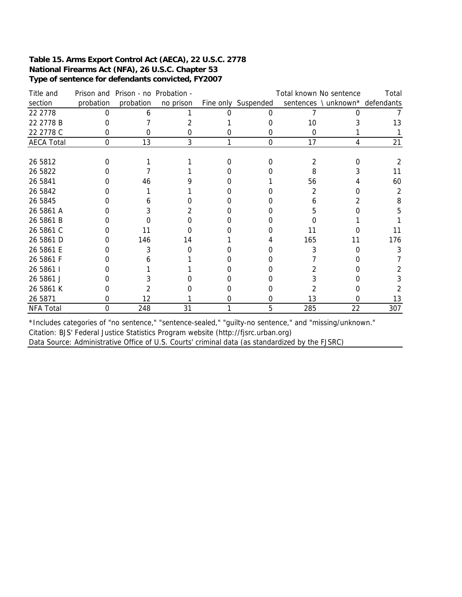#### **Table 15. Arms Export Control Act (AECA), 22 U.S.C. 2778 National Firearms Act (NFA), 26 U.S.C. Chapter 53 Type of sentence for defendants convicted, FY2007**

| Title and         | Prison and | Prison - no Probation - |           | Total known No sentence |     |                                |     |  |
|-------------------|------------|-------------------------|-----------|-------------------------|-----|--------------------------------|-----|--|
| section           | probation  | probation               | no prison | Fine only Suspended     |     | sentences \unknown* defendants |     |  |
| 22 2778           |            |                         |           |                         |     |                                |     |  |
| 22 2778 B         |            |                         |           |                         | 10  |                                | 13  |  |
| 22 2778 C         | 0          | O                       | O         | 0                       | 0   |                                |     |  |
| <b>AECA Total</b> | 0          | 13                      | 3         | $\mathbf 0$             | 17  | 4                              | 21  |  |
|                   |            |                         |           |                         |     |                                |     |  |
| 26 5812           |            |                         |           |                         |     |                                |     |  |
| 26 5822           |            |                         |           |                         | 8   |                                | 11  |  |
| 26 5841           |            | 46                      |           |                         | 56  |                                | 60  |  |
| 26 5842           |            |                         |           |                         |     |                                | 2   |  |
| 26 5845           |            |                         |           |                         |     |                                | 8   |  |
| 26 5861 A         |            |                         |           |                         | h.  |                                |     |  |
| 26 5861 B         |            |                         |           |                         |     |                                |     |  |
| 26 5861 C         |            |                         |           |                         |     |                                | 11  |  |
| 26 5861 D         |            | 146                     | 14        |                         | 165 | 11                             | 176 |  |
| 26 5861 E         |            |                         |           |                         | 3   |                                |     |  |
| 26 5861 F         |            |                         |           |                         |     |                                |     |  |
| 26 5861 l         |            |                         |           |                         |     |                                |     |  |
| 26 5861 J         |            |                         |           |                         |     |                                |     |  |
| 26 5861 K         |            |                         |           |                         |     |                                |     |  |
| 26 5871           | 0          | 12                      |           |                         | 13  |                                | 13  |  |
| <b>NFA Total</b>  | $\Omega$   | 248                     | 31        | 5                       | 285 | 22                             | 307 |  |

Data Source: Administrative Office of U.S. Courts' criminal data (as standardized by the FJSRC) Citation: BJS' Federal Justice Statistics Program website (http://fjsrc.urban.org) \*Includes categories of "no sentence," "sentence-sealed," "guilty-no sentence," and "missing/unknown."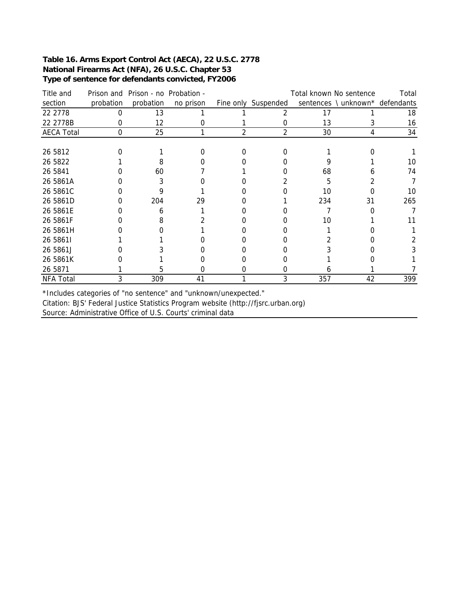#### **Table 16. Arms Export Control Act (AECA), 22 U.S.C. 2778 National Firearms Act (NFA), 26 U.S.C. Chapter 53 Type of sentence for defendants convicted, FY2006**

| Title and         | Prison and | Prison - no Probation - |           |                | Total known No sentence |     |                                 |     |  |  |
|-------------------|------------|-------------------------|-----------|----------------|-------------------------|-----|---------------------------------|-----|--|--|
| section           | probation  | probation               | no prison |                | Fine only Suspended     |     | sentences \ unknown* defendants |     |  |  |
| 22 2778           | O          | 13                      |           |                |                         | 17  |                                 | 18  |  |  |
| 22 2778B          |            | 12                      |           |                |                         | 13  |                                 | 16  |  |  |
| <b>AECA Total</b> | $\Omega$   | 25                      |           | $\mathfrak{D}$ | $\mathfrak{p}$          | 30  |                                 | 34  |  |  |
|                   |            |                         |           |                |                         |     |                                 |     |  |  |
| 26 5812           |            |                         |           |                |                         |     |                                 |     |  |  |
| 26 5822           |            |                         |           |                |                         |     |                                 | 10  |  |  |
| 26 5841           |            | 60                      |           |                |                         | 68  |                                 | 74  |  |  |
| 26 5861A          |            |                         |           |                |                         | 5   |                                 |     |  |  |
| 26 5861C          |            |                         |           |                |                         | 10  |                                 | 10  |  |  |
| 26 5861D          |            | 204                     | 29        |                |                         | 234 | 31                              | 265 |  |  |
| 26 5861E          |            |                         |           |                |                         |     |                                 |     |  |  |
| 26 5861F          |            |                         |           |                |                         | 10  |                                 |     |  |  |
| 26 5861H          |            |                         |           |                |                         |     |                                 |     |  |  |
| 26 58611          |            |                         |           |                |                         |     |                                 |     |  |  |
| 26 5861J          |            |                         |           |                |                         |     |                                 |     |  |  |
| 26 5861K          |            |                         |           |                |                         |     |                                 |     |  |  |
| 26 5871           |            |                         |           |                |                         |     |                                 |     |  |  |
| NFA Total         |            | 309                     | 41        |                | 3                       | 357 | 42                              | 399 |  |  |

\*Includes categories of "no sentence" and "unknown/unexpected."

Source: Administrative Office of U.S. Courts' criminal data Citation: BJS' Federal Justice Statistics Program website (http://fjsrc.urban.org)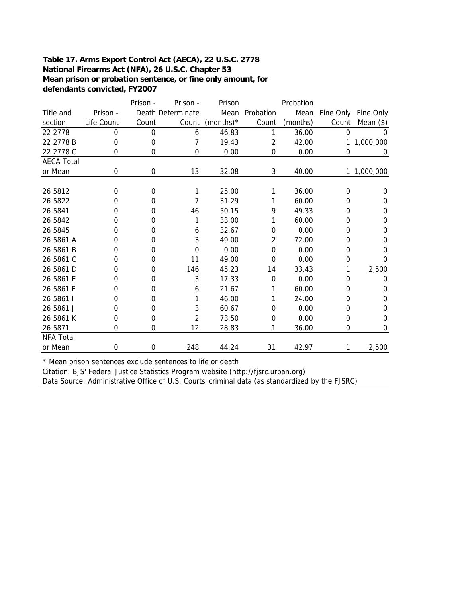#### **Table 17. Arms Export Control Act (AECA), 22 U.S.C. 2778 National Firearms Act (NFA), 26 U.S.C. Chapter 53 Mean prison or probation sentence, or fine only amount, for defendants convicted, FY2007**

|                   |            | Prison - | Prison -          |              |           | Probation |             |             |
|-------------------|------------|----------|-------------------|--------------|-----------|-----------|-------------|-------------|
| Title and         | Prison -   |          | Death Determinate | Mean         | Probation | Mean      | Fine Only   | Fine Only   |
| section           | Life Count | Count    | Count             | (months) $*$ | Count     | (months)  | Count       | Mean $(*)$  |
| 22 2778           | $\Omega$   | 0        | 6                 | 46.83        | 1         | 36.00     | $\mathbf 0$ | 0           |
| 22 2778 B         | 0          | 0        | 7                 | 19.43        | 2         | 42.00     | 1           | 1,000,000   |
| 22 2778 C         | 0          | 0        | 0                 | 0.00         | 0         | 0.00      | 0           | 0           |
| <b>AECA Total</b> |            |          |                   |              |           |           |             |             |
| or Mean           | 0          | 0        | 13                | 32.08        | 3         | 40.00     |             | 1 1,000,000 |
|                   |            |          |                   |              |           |           |             |             |
| 26 5812           | 0          | 0        |                   | 25.00        | 1         | 36.00     | $\Omega$    | $\Omega$    |
| 26 5822           | 0          | 0        | 7                 | 31.29        |           | 60.00     | 0           | 0           |
| 26 5841           | 0          | 0        | 46                | 50.15        | 9         | 49.33     | 0           | 0           |
| 26 5842           | 0          | 0        |                   | 33.00        |           | 60.00     | 0           | 0           |
| 26 5845           | 0          | 0        | 6                 | 32.67        | 0         | 0.00      | 0           | 0           |
| 26 5861 A         | 0          | 0        | 3                 | 49.00        | 2         | 72.00     | 0           | 0           |
| 26 5861 B         | 0          | 0        | $\Omega$          | 0.00         | $\Omega$  | 0.00      | 0           | 0           |
| 26 5861 C         | 0          | 0        | 11                | 49.00        | $\Omega$  | 0.00      | 0           | 0           |
| 26 5861 D         | 0          | 0        | 146               | 45.23        | 14        | 33.43     | 1           | 2,500       |
| 26 5861 E         | 0          | 0        | 3                 | 17.33        | 0         | 0.00      | 0           | 0           |
| 26 5861 F         | 0          | 0        | 6                 | 21.67        | 1         | 60.00     | 0           | 0           |
| 26 5861 I         | 0          | 0        |                   | 46.00        | 1         | 24.00     | 0           | 0           |
| 26 5861 J         | 0          | 0        | 3                 | 60.67        | 0         | 0.00      | 0           | 0           |
| 26 5861 K         | 0          | 0        | 2                 | 73.50        | 0         | 0.00      | 0           | 0           |
| 26 5871           | 0          | 0        | 12                | 28.83        | 1         | 36.00     | 0           | 0           |
| <b>NFA Total</b>  |            |          |                   |              |           |           |             |             |
| or Mean           | 0          | 0        | 248               | 44.24        | 31        | 42.97     | 1           | 2,500       |

\* Mean prison sentences exclude sentences to life or death

Citation: BJS' Federal Justice Statistics Program website (http://fjsrc.urban.org)

Data Source: Administrative Office of U.S. Courts' criminal data (as standardized by the FJSRC)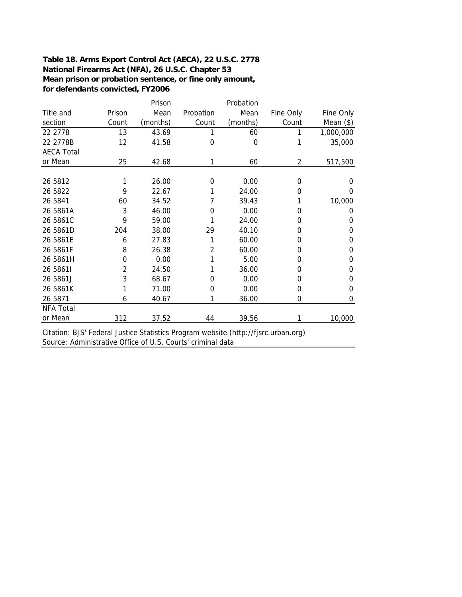#### **Table 18. Arms Export Control Act (AECA), 22 U.S.C. 2778 National Firearms Act (NFA), 26 U.S.C. Chapter 53 Mean prison or probation sentence, or fine only amount, for defendants convicted, FY2006**

|                   |        | Prison   |           | Probation |           |             |
|-------------------|--------|----------|-----------|-----------|-----------|-------------|
| Title and         | Prison | Mean     | Probation | Mean      | Fine Only | Fine Only   |
| section           | Count  | (months) | Count     | (months)  | Count     | Mean $(\$)$ |
| 22 2778           | 13     | 43.69    | 1         | 60        |           | 1,000,000   |
| 22 2778B          | 12     | 41.58    | 0         | 0         |           | 35,000      |
| <b>AECA Total</b> |        |          |           |           |           |             |
| or Mean           | 25     | 42.68    | 1         | 60        | 2         | 517,500     |
|                   |        |          |           |           |           |             |
| 26 5812           |        | 26.00    | 0         | 0.00      | 0         | 0           |
| 26 5822           | 9      | 22.67    | 1         | 24.00     | 0         | 0           |
| 26 5841           | 60     | 34.52    | 7         | 39.43     |           | 10,000      |
| 26 5861A          | 3      | 46.00    | 0         | 0.00      | 0         | 0           |
| 26 5861C          | 9      | 59.00    |           | 24.00     | 0         | 0           |
| 26 5861D          | 204    | 38.00    | 29        | 40.10     | 0         | 0           |
| 26 5861E          | 6      | 27.83    | 1         | 60.00     | 0         | 0           |
| 26 5861F          | 8      | 26.38    | 2         | 60.00     | 0         | 0           |
| 26 5861H          | 0      | 0.00     | 1         | 5.00      | 0         | 0           |
| 26 58611          | 2      | 24.50    | 1         | 36.00     | 0         | 0           |
| 26 5861J          | 3      | 68.67    | 0         | 0.00      | 0         | 0           |
| 26 5861K          | 1      | 71.00    | 0         | 0.00      | 0         | 0           |
| 26 5871           | 6      | 40.67    | 1         | 36.00     | 0         | $\mathbf 0$ |
| <b>NFA Total</b>  |        |          |           |           |           |             |
| or Mean           | 312    | 37.52    | 44        | 39.56     |           | 10,000      |

Citation: BJS' Federal Justice Statistics Program website (http://fjsrc.urban.org) Source: Administrative Office of U.S. Courts' criminal data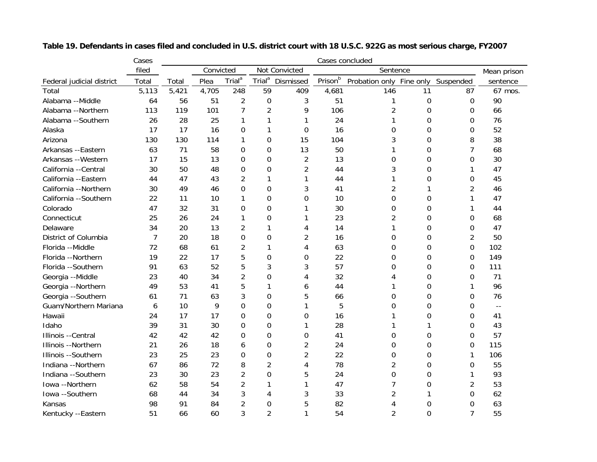|                           | Cases | Cases concluded                        |       |                    |                    |                |         |                          |          |                |                            |
|---------------------------|-------|----------------------------------------|-------|--------------------|--------------------|----------------|---------|--------------------------|----------|----------------|----------------------------|
|                           | filed | Convicted<br>Not Convicted<br>Sentence |       |                    |                    |                |         | Mean prison              |          |                |                            |
| Federal judicial district | Total | Total                                  | Plea  | Trial <sup>a</sup> | Trial <sup>a</sup> | Dismissed      | Prisonb | Probation only Fine only |          | Suspended      | sentence                   |
| Total                     | 5,113 | 5,421                                  | 4,705 | 248                | 59                 | 409            | 4,681   | 146                      | 11       | 87             | 67 mos.                    |
| Alabama --Middle          | 64    | 56                                     | 51    | $\overline{2}$     | $\mathbf 0$        | 3              | 51      |                          | 0        | 0              | 90                         |
| Alabama --Northern        | 113   | 119                                    | 101   | 7                  | $\overline{2}$     | 9              | 106     | $\overline{c}$           | $\Omega$ | 0              | 66                         |
| Alabama --Southern        | 26    | 28                                     | 25    | 1                  | 1                  | 1              | 24      | 1                        | $\Omega$ | 0              | 76                         |
| Alaska                    | 17    | 17                                     | 16    | 0                  | 1                  | 0              | 16      | 0                        | $\Omega$ | 0              | 52                         |
| Arizona                   | 130   | 130                                    | 114   | 1                  | $\overline{0}$     | 15             | 104     | 3                        | $\Omega$ | 8              | 38                         |
| Arkansas --Eastern        | 63    | 71                                     | 58    | 0                  | 0                  | 13             | 50      | 1                        | 0        | 7              | 68                         |
| Arkansas --Western        | 17    | 15                                     | 13    | 0                  | 0                  | $\overline{2}$ | 13      | 0                        | 0        | 0              | 30                         |
| California --Central      | 30    | 50                                     | 48    | 0                  | $\mathbf 0$        | $\overline{2}$ | 44      | 3                        | 0        | 1              | 47                         |
| California --Eastern      | 44    | 47                                     | 43    | 2                  | 1                  | 1              | 44      | 1                        | 0        | 0              | 45                         |
| California --Northern     | 30    | 49                                     | 46    | 0                  | $\Omega$           | 3              | 41      | $\overline{c}$           | 1        | 2              | 46                         |
| California --Southern     | 22    | 11                                     | 10    | 1                  | 0                  | 0              | 10      | 0                        | $\Omega$ | 1              | 47                         |
| Colorado                  | 47    | 32                                     | 31    | 0                  | $\Omega$           | 1              | 30      | 0                        | $\Omega$ | 1              | 44                         |
| Connecticut               | 25    | 26                                     | 24    |                    | 0                  | 1              | 23      | 2                        | $\Omega$ | 0              | 68                         |
| Delaware                  | 34    | 20                                     | 13    | 2                  | 1                  | 4              | 14      | 1                        | 0        | 0              | 47                         |
| District of Columbia      | 7     | 20                                     | 18    | 0                  | $\Omega$           | 2              | 16      | 0                        | $\Omega$ | $\overline{2}$ | 50                         |
| Florida --Middle          | 72    | 68                                     | 61    | $\overline{2}$     | 1                  | 4              | 63      | 0                        | $\Omega$ | $\Omega$       | 102                        |
| Florida --Northern        | 19    | 22                                     | 17    | 5                  | 0                  | 0              | 22      | 0                        | $\Omega$ | $\Omega$       | 149                        |
| Florida --Southern        | 91    | 63                                     | 52    | 5                  | 3                  | 3              | 57      | 0                        | $\Omega$ | 0              | 111                        |
| Georgia --Middle          | 23    | 40                                     | 34    | $\overline{2}$     | $\overline{0}$     | 4              | 32      | 4                        | $\Omega$ | $\Omega$       | 71                         |
| Georgia --Northern        | 49    | 53                                     | 41    | 5                  | 1                  | 6              | 44      | 1                        | $\Omega$ | 1              | 96                         |
| Georgia --Southern        | 61    | 71                                     | 63    | 3                  | $\Omega$           | 5              | 66      | 0                        | $\Omega$ | $\Omega$       | 76                         |
| Guam/Northern Mariana     | 6     | 10                                     | 9     | 0                  | 0                  | 1              | 5       | 0                        | 0        | 0              | $\overline{\phantom{a}}$ . |
| Hawaii                    | 24    | 17                                     | 17    | 0                  | 0                  | 0              | 16      | 1                        | 0        | 0              | 41                         |
| Idaho                     | 39    | 31                                     | 30    | 0                  | 0                  | 1              | 28      | 1                        | 1        | 0              | 43                         |
| Illinois --Central        | 42    | 42                                     | 42    | 0                  | 0                  | 0              | 41      | 0                        | 0        | 0              | 57                         |
| Illinois --Northern       | 21    | 26                                     | 18    | 6                  | 0                  | 2              | 24      | 0                        | 0        | 0              | 115                        |
| Illinois --Southern       | 23    | 25                                     | 23    | 0                  | 0                  | $\overline{2}$ | 22      | 0                        | 0        | 1              | 106                        |
| Indiana --Northern        | 67    | 86                                     | 72    | 8                  | $\overline{2}$     | 4              | 78      | $\overline{2}$           | 0        | 0              | 55                         |
| Indiana --Southern        | 23    | 30                                     | 23    | 2                  | 0                  | 5              | 24      | 0                        | 0        | 1              | 93                         |
| Iowa --Northern           | 62    | 58                                     | 54    | $\overline{c}$     |                    | 1              | 47      | 7                        | 0        | $\overline{2}$ | 53                         |
| Iowa --Southern           | 68    | 44                                     | 34    | 3                  | 4                  | 3              | 33      | $\overline{2}$           |          | 0              | 62                         |
| Kansas                    | 98    | 91                                     | 84    | $\overline{2}$     | 0                  | 5              | 82      | 4                        | 0        | 0              | 63                         |
| Kentucky --Eastern        | 51    | 66                                     | 60    | 3                  | $\overline{2}$     | $\mathbf{1}$   | 54      | $\mathfrak{p}$           | $\Omega$ | $\overline{7}$ | 55                         |

**Table 19. Defendants in cases filed and concluded in U.S. district court with 18 U.S.C. 922G as most serious charge, FY2007**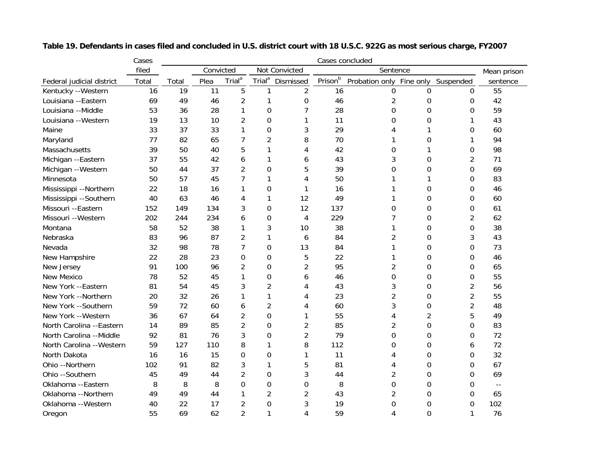|                           | Cases | Cases concluded |                            |                    |                    |                |         |                          |                |                |                            |
|---------------------------|-------|-----------------|----------------------------|--------------------|--------------------|----------------|---------|--------------------------|----------------|----------------|----------------------------|
|                           | filed |                 | Convicted<br>Not Convicted |                    |                    |                |         | Sentence                 |                |                |                            |
| Federal judicial district | Total | Total           | Plea                       | Trial <sup>a</sup> | Trial <sup>a</sup> | Dismissed      | Prisonb | Probation only Fine only |                | Suspended      | sentence                   |
| Kentucky --Western        | 16    | 19              | 11                         | 5                  | 1                  | $\overline{2}$ | 16      | 0                        | 0              | 0              | 55                         |
| Louisiana --Eastern       | 69    | 49              | 46                         | $\overline{2}$     |                    | 0              | 46      | 2                        | $\mathbf 0$    | 0              | 42                         |
| Louisiana --Middle        | 53    | 36              | 28                         | 1                  | $\mathbf 0$        | 7              | 28      | $\mathbf 0$              | 0              | 0              | 59                         |
| Louisiana --Western       | 19    | 13              | 10                         | 2                  | $\overline{0}$     |                | 11      | 0                        | 0              | 1              | 43                         |
| Maine                     | 33    | 37              | 33                         | 1                  | 0                  | 3              | 29      | 4                        | 1              | 0              | 60                         |
| Maryland                  | 77    | 82              | 65                         | 7                  | $\overline{2}$     | 8              | 70      | 1                        | 0              | 1              | 94                         |
| Massachusetts             | 39    | 50              | 40                         | 5                  | 1                  | 4              | 42      | 0                        | 1              | 0              | 98                         |
| Michigan --Eastern        | 37    | 55              | 42                         | 6                  | 1                  | 6              | 43      | 3                        | $\Omega$       | $\overline{2}$ | 71                         |
| Michigan --Western        | 50    | 44              | 37                         | $\overline{2}$     | $\Omega$           | 5              | 39      | 0                        | $\Omega$       | 0              | 69                         |
| Minnesota                 | 50    | 57              | 45                         | 7                  | 1                  | 4              | 50      | 1                        | 1              | 0              | 83                         |
| Mississippi --Northern    | 22    | 18              | 16                         | 1                  | $\Omega$           | 1              | 16      | 1                        | $\Omega$       | 0              | 46                         |
| Mississippi --Southern    | 40    | 63              | 46                         | 4                  | 1                  | 12             | 49      | 1                        | $\Omega$       | 0              | 60                         |
| Missouri --Eastern        | 152   | 149             | 134                        | 3                  | $\overline{0}$     | 12             | 137     | $\Omega$                 | $\Omega$       | 0              | 61                         |
| Missouri -- Western       | 202   | 244             | 234                        | 6                  | 0                  | 4              | 229     | 7                        | 0              | $\overline{2}$ | 62                         |
| Montana                   | 58    | 52              | 38                         | 1                  | 3                  | 10             | 38      | 1                        | 0              | 0              | 38                         |
| Nebraska                  | 83    | 96              | 87                         | $\overline{c}$     | 1                  | 6              | 84      | $\overline{2}$           | 0              | 3              | 43                         |
| Nevada                    | 32    | 98              | 78                         | 7                  | 0                  | 13             | 84      | 1                        | $\mathbf 0$    | 0              | 73                         |
| New Hampshire             | 22    | 28              | 23                         | 0                  | 0                  | 5              | 22      | 1                        | $\mathbf 0$    | 0              | 46                         |
| New Jersey                | 91    | 100             | 96                         | 2                  | 0                  | $\overline{2}$ | 95      | $\overline{2}$           | $\mathbf 0$    | 0              | 65                         |
| <b>New Mexico</b>         | 78    | 52              | 45                         |                    | 0                  | 6              | 46      | 0                        | 0              | 0              | 55                         |
| New York --Eastern        | 81    | 54              | 45                         | 3                  | $\overline{c}$     | 4              | 43      | 3                        | $\mathbf 0$    | $\overline{2}$ | 56                         |
| New York --Northern       | 20    | 32              | 26                         | 1                  | 1                  | 4              | 23      | $\overline{2}$           | 0              | $\overline{2}$ | 55                         |
| New York --Southern       | 59    | 72              | 60                         | 6                  | $\overline{c}$     | 4              | 60      | 3                        | 0              | $\overline{2}$ | 48                         |
| New York --Western        | 36    | 67              | 64                         | 2                  | 0                  | 1              | 55      | 4                        | $\overline{2}$ | 5              | 49                         |
| North Carolina --Eastern  | 14    | 89              | 85                         | $\overline{2}$     | 0                  | $\overline{2}$ | 85      | 2                        | 0              | 0              | 83                         |
| North Carolina --Middle   | 92    | 81              | 76                         | 3                  | $\Omega$           | $\overline{2}$ | 79      | $\overline{0}$           | 0              | 0              | 72                         |
| North Carolina -- Western | 59    | 127             | 110                        | 8                  | 1                  | 8              | 112     | 0                        | 0              | 6              | 72                         |
| North Dakota              | 16    | 16              | 15                         | 0                  | 0                  | 1              | 11      | 4                        | 0              | 0              | 32                         |
| Ohio --Northern           | 102   | 91              | 82                         | 3                  | 1                  | 5              | 81      | 4                        | 0              | 0              | 67                         |
| Ohio --Southern           | 45    | 49              | 44                         | $\overline{2}$     | 0                  | 3              | 44      | 2                        | 0              | 0              | 69                         |
| Oklahoma --Eastern        | 8     | 8               | 8                          | 0                  | 0                  | 0              | 8       | 0                        | 0              | 0              | $\overline{\phantom{a}}$ . |
| Oklahoma --Northern       | 49    | 49              | 44                         |                    | 2                  | $\overline{2}$ | 43      | 2                        | 0              | 0              | 65                         |
| Oklahoma --Western        | 40    | 22              | 17                         | $\overline{2}$     | $\mathbf 0$        | 3              | 19      | 0                        | 0              | 0              | 102                        |
| Oregon                    | 55    | 69              | 62                         | 2                  | 1                  | $\overline{4}$ | 59      | 4                        | $\Omega$       | 1              | 76                         |

**Table 19. Defendants in cases filed and concluded in U.S. district court with 18 U.S.C. 922G as most serious charge, FY2007**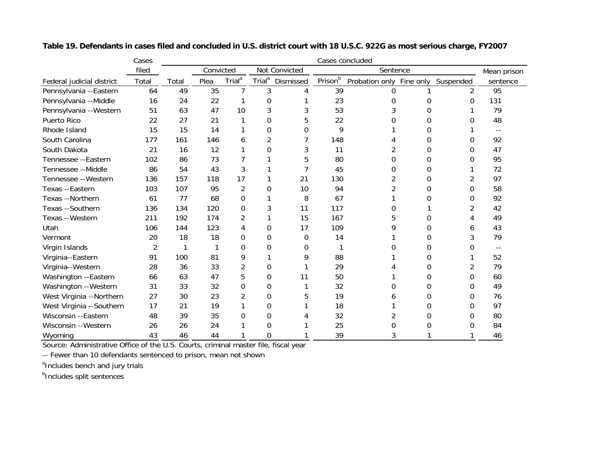|                           | Cases | Cases concluded |                            |                    |                    |           |         |                |           |                |                          |
|---------------------------|-------|-----------------|----------------------------|--------------------|--------------------|-----------|---------|----------------|-----------|----------------|--------------------------|
|                           | filed |                 | Convicted<br>Not Convicted |                    |                    | Sentence  |         |                |           | Mean prison    |                          |
| Federal judicial district | Total | Total           | Plea                       | Trial <sup>a</sup> | Trial <sup>a</sup> | Dismissed | Prisonb | Probation only | Fine only | Suspended      | sentence                 |
| Pennsylvania --Eastern    | 64    | 49              | 35                         | 7                  | 3                  | 4         | 39      | 0              |           | $\overline{2}$ | 95                       |
| Pennsylvania --Middle     | 16    | 24              | 22                         |                    | 0                  |           | 23      | 0              | O         | 0              | 131                      |
| Pennsylvania -- Western   | 51    | 63              | 47                         | 10                 | 3                  |           | 53      |                | 0         |                | 79                       |
| Puerto Rico               | 22    | 27              | 21                         |                    | 0                  | 5         | 22      |                | O         |                | 48                       |
| Rhode Island              | 15    | 15              | 14                         |                    | 0                  | 0         | 9       |                | 0         |                | $ -$                     |
| South Carolina            | 177   | 161             | 146                        | 6                  | $\overline{2}$     |           | 148     |                | 0         |                | 92                       |
| South Dakota              | 21    | 16              | 12                         |                    | 0                  | 3         | 11      | 2              | 0         | 0              | 47                       |
| Tennessee --Eastern       | 102   | 86              | 73                         |                    |                    | 5         | 80      | 0              | 0         | ი              | 95                       |
| Tennessee --Middle        | 86    | 54              | 43                         | 3                  |                    |           | 45      | 0              | 0         |                | 72                       |
| Tennessee --Western       | 136   | 157             | 118                        | 17                 |                    | 21        | 130     | 2              | 0         | 2              | 97                       |
| Texas --Eastern           | 103   | 107             | 95                         | 2                  | 0                  | 10        | 94      |                | 0         | 0              | 58                       |
| Texas --Northern          | 61    | 77              | 68                         | 0                  |                    | 8         | 67      |                | 0         | 0              | 92                       |
| Texas --Southern          | 136   | 134             | 120                        | 0                  | 3                  | 11        | 117     | 0              |           |                | 42                       |
| Texas --Western           | 211   | 192             | 174                        | 2                  |                    | 15        | 167     |                | 0         |                | 49                       |
| Utah                      | 106   | 144             | 123                        | 4                  | 0                  | 17        | 109     | a              | 0         | o              | 43                       |
| Vermont                   | 20    | 18              | 18                         | 0                  | $\Omega$           | 0         | 14      |                | $\Omega$  |                | 79                       |
| Virgin Islands            | 2     |                 |                            | 0                  | 0                  | 0         |         |                | 0         |                | $\overline{\phantom{a}}$ |
| Virginia--Eastern         | 91    | 100             | 81                         | 9                  |                    | 9         | 88      |                | 0         |                | 52                       |
| Virginia--Western         | 28    | 36              | 33                         | 2                  | 0                  |           | 29      |                | 0         | 2              | 79                       |
| Washington --Eastern      | 66    | 63              | 47                         | 5                  | $\Omega$           | 11        | 50      |                | 0         | 0              | 60                       |
| Washington --Western      | 31    | 33              | 32                         | 0                  | 0                  |           | 32      | 0              | 0         | 0              | 49                       |
| West Virginia --Northern  | 27    | 30              | 23                         | 2                  | 0                  | 5         | 19      | 6              | $\Omega$  | 0              | 76                       |
| West Virginia --Southern  | 17    | 21              | 19                         |                    | 0                  |           | 18      |                | 0         | 0              | 97                       |
| Wisconsin --Eastern       | 48    | 39              | 35                         | 0                  | 0                  |           | 32      |                |           | 0              | 80                       |
| Wisconsin --Western       | 26    | 26              | 24                         |                    | 0                  |           | 25      | 0              | O         |                | 84                       |
| Wyoming                   | 43    | 46              | 44                         |                    | 0                  |           | 39      | 3              |           |                | 46                       |

**Table 19. Defendants in cases filed and concluded in U.S. district court with 18 U.S.C. 922G as most serious charge, FY2007**

Source: Administrative Office of the U.S. Courts, criminal master file, fiscal year

-- Fewer than 10 defendants sentenced to prison, mean not shown

<sup>a</sup>Includes bench and jury trials

**b**Includes split sentences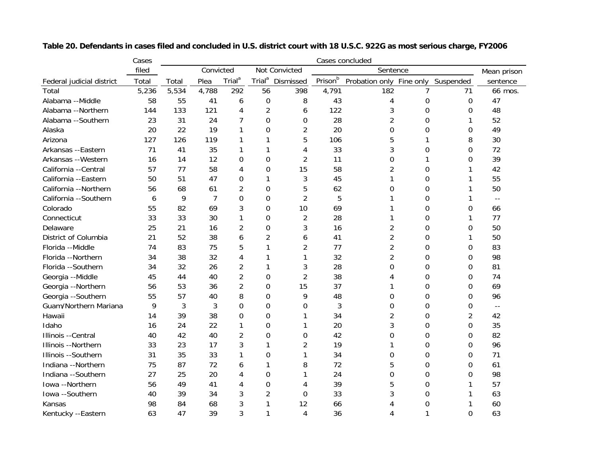|                           | Cases | Cases concluded |       |                    |                    |                |         |                          |                |                  |                            |
|---------------------------|-------|-----------------|-------|--------------------|--------------------|----------------|---------|--------------------------|----------------|------------------|----------------------------|
|                           | filed | Convicted       |       |                    |                    | Not Convicted  |         | Sentence                 |                |                  | Mean prison                |
| Federal judicial district | Total | Total           | Plea  | Trial <sup>a</sup> | Trial <sup>a</sup> | Dismissed      | Prisonb | Probation only Fine only |                | Suspended        | sentence                   |
| Total                     | 5,236 | 5,534           | 4,788 | 292                | 56                 | 398            | 4,791   | 182                      | 7              | 71               | 66 mos.                    |
| Alabama --Middle          | 58    | 55              | 41    | 6                  | 0                  | 8              | 43      | 4                        | $\mathbf 0$    | $\boldsymbol{0}$ | 47                         |
| Alabama --Northern        | 144   | 133             | 121   | 4                  | $\overline{2}$     | 6              | 122     | 3                        | $\Omega$       | 0                | 48                         |
| Alabama --Southern        | 23    | 31              | 24    | 7                  | 0                  | 0              | 28      | $\overline{2}$           | $\Omega$       | 1                | 52                         |
| Alaska                    | 20    | 22              | 19    | 1                  | 0                  | $\overline{2}$ | 20      | 0                        | $\Omega$       | 0                | 49                         |
| Arizona                   | 127   | 126             | 119   | 1                  | 1                  | 5              | 106     | 5                        | 1              | 8                | 30                         |
| Arkansas --Eastern        | 71    | 41              | 35    | 1                  | 1                  | 4              | 33      | 3                        | 0              | 0                | 72                         |
| Arkansas -- Western       | 16    | 14              | 12    | $\mathbf 0$        | 0                  | $\overline{2}$ | 11      | 0                        | 1              | 0                | 39                         |
| California --Central      | 57    | 77              | 58    | 4                  | 0                  | 15             | 58      | 2                        | $\mathbf 0$    | 1                | 42                         |
| California --Eastern      | 50    | 51              | 47    | $\Omega$           | 1                  | 3              | 45      | 1                        | $\Omega$       | 1                | 55                         |
| California --Northern     | 56    | 68              | 61    | 2                  | 0                  | 5              | 62      | 0                        | $\Omega$       | 1                | 50                         |
| California --Southern     | 6     | 9               | 7     | 0                  | 0                  | $\overline{2}$ | 5       | 1                        | 0              | 1                | $\overline{\phantom{a}}$ . |
| Colorado                  | 55    | 82              | 69    | 3                  | 0                  | 10             | 69      | 1                        | 0              | 0                | 66                         |
| Connecticut               | 33    | 33              | 30    | 1                  | 0                  | 2              | 28      | 1                        | $\mathbf 0$    | 1                | 77                         |
| Delaware                  | 25    | 21              | 16    | 2                  | 0                  | 3              | 16      | 2                        | $\mathbf 0$    | 0                | 50                         |
| District of Columbia      | 21    | 52              | 38    | 6                  | 2                  | 6              | 41      | 2                        | $\Omega$       | 1                | 50                         |
| Florida --Middle          | 74    | 83              | 75    | 5                  | 1                  | 2              | 77      | 2                        | $\Omega$       | 0                | 83                         |
| Florida --Northern        | 34    | 38              | 32    | 4                  |                    | 1              | 32      | 2                        | $\overline{0}$ | 0                | 98                         |
| Florida --Southern        | 34    | 32              | 26    | 2                  | 1                  | 3              | 28      | 0                        | $\Omega$       | 0                | 81                         |
| Georgia --Middle          | 45    | 44              | 40    | $\overline{2}$     | 0                  | $\overline{2}$ | 38      | 4                        | $\Omega$       | 0                | 74                         |
| Georgia --Northern        | 56    | 53              | 36    | $\overline{2}$     | 0                  | 15             | 37      | 1                        | $\Omega$       | 0                | 69                         |
| Georgia --Southern        | 55    | 57              | 40    | 8                  | 0                  | 9              | 48      | 0                        | $\Omega$       | 0                | 96                         |
| Guam/Northern Mariana     | 9     | 3               | 3     | $\mathbf 0$        | 0                  | 0              | 3       | 0                        | 0              | 0                | $\overline{\phantom{a}}$ . |
| Hawaii                    | 14    | 39              | 38    | $\mathbf 0$        | 0                  | 1              | 34      | 2                        | 0              | $\overline{2}$   | 42                         |
| Idaho                     | 16    | 24              | 22    | $\mathbf{1}$       | 0                  | 1              | 20      | 3                        | $\overline{0}$ | 0                | 35                         |
| Illinois --Central        | 40    | 42              | 40    | $\overline{2}$     | 0                  | 0              | 42      | 0                        | $\mathbf 0$    | 0                | 82                         |
| Illinois --Northern       | 33    | 23              | 17    | 3                  | 1                  | $\overline{2}$ | 19      | 1                        | $\mathbf 0$    | 0                | 96                         |
| Illinois --Southern       | 31    | 35              | 33    | $\mathbf{1}$       | 0                  | 1              | 34      | 0                        | $\mathbf 0$    | 0                | 71                         |
| Indiana --Northern        | 75    | 87              | 72    | 6                  | 1                  | 8              | 72      | 5                        | $\mathbf 0$    | 0                | 61                         |
| Indiana --Southern        | 27    | 25              | 20    | 4                  | 0                  | 1              | 24      | 0                        | 0              | 0                | 98                         |
| Iowa --Northern           | 56    | 49              | 41    | 4                  | 0                  | 4              | 39      | 5                        | 0              | 1                | 57                         |
| Iowa --Southern           | 40    | 39              | 34    | 3                  | 2                  | 0              | 33      | 3                        | 0              | 1                | 63                         |
| Kansas                    | 98    | 84              | 68    | 3                  |                    | 12             | 66      | 4                        | 0              |                  | 60                         |
| Kentucky --Eastern        | 63    | 47              | 39    | 3                  | 1                  | $\overline{4}$ | 36      | 4                        |                | 0                | 63                         |

**Table 20. Defendants in cases filed and concluded in U.S. district court with 18 U.S.C. 922G as most serious charge, FY2006**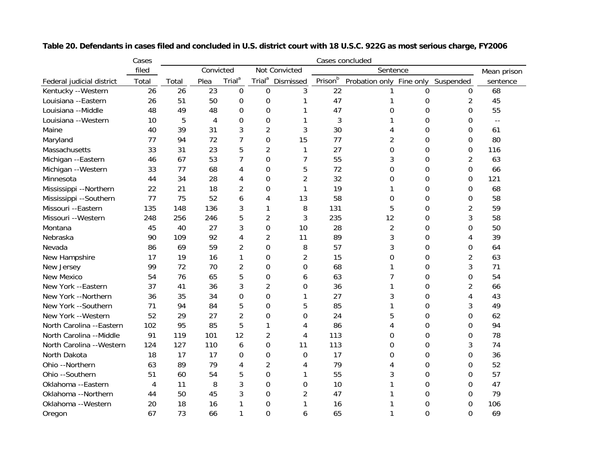|                           | Cases | Cases concluded |      |                    |                    |                |          |                |           |                |             |
|---------------------------|-------|-----------------|------|--------------------|--------------------|----------------|----------|----------------|-----------|----------------|-------------|
|                           | filed | Convicted       |      |                    | Not Convicted      |                | Sentence |                |           |                | Mean prison |
| Federal judicial district | Total | Total           | Plea | Trial <sup>a</sup> | Trial <sup>a</sup> | Dismissed      | Prisonb  | Probation only | Fine only | Suspended      | sentence    |
| Kentucky --Western        | 26    | 26              | 23   | $\boldsymbol{0}$   | $\mathbf 0$        | 3              | 22       |                | 0         | $\Omega$       | 68          |
| Louisiana --Eastern       | 26    | 51              | 50   | 0                  | 0                  | 1              | 47       |                | 0         | $\overline{2}$ | 45          |
| Louisiana --Middle        | 48    | 49              | 48   | 0                  | 0                  |                | 47       | 0              | 0         | 0              | 55          |
| Louisiana --Western       | 10    | 5               | 4    | 0                  | 0                  |                | 3        |                | 0         | 0              | $-$         |
| Maine                     | 40    | 39              | 31   | 3                  | 2                  | 3              | 30       | 4              | 0         | 0              | 61          |
| Maryland                  | 77    | 94              | 72   | $\overline{7}$     | 0                  | 15             | 77       | 2              | 0         | $\Omega$       | 80          |
| Massachusetts             | 33    | 31              | 23   | 5                  | $\overline{c}$     | 1              | 27       | 0              | 0         | 0              | 116         |
| Michigan --Eastern        | 46    | 67              | 53   | 7                  | 0                  | $\overline{7}$ | 55       | 3              | 0         | 2              | 63          |
| Michigan --Western        | 33    | 77              | 68   | 4                  | 0                  | 5              | 72       | $\mathbf 0$    | 0         | 0              | 66          |
| Minnesota                 | 44    | 34              | 28   | 4                  | 0                  | 2              | 32       | 0              | 0         | 0              | 121         |
| Mississippi --Northern    | 22    | 21              | 18   | $\overline{2}$     | 0                  | 1              | 19       | 1              | 0         | 0              | 68          |
| Mississippi --Southern    | 77    | 75              | 52   | 6                  | 4                  | 13             | 58       | 0              | 0         | 0              | 58          |
| Missouri --Eastern        | 135   | 148             | 136  | 3                  | 1                  | 8              | 131      | 5              | 0         | 2              | 59          |
| Missouri -- Western       | 248   | 256             | 246  | 5                  | 2                  | 3              | 235      | 12             | 0         | 3              | 58          |
| Montana                   | 45    | 40              | 27   | 3                  | 0                  | 10             | 28       | $\overline{2}$ | 0         | 0              | 50          |
| Nebraska                  | 90    | 109             | 92   | 4                  | 2                  | 11             | 89       | 3              | $\Omega$  | 4              | 39          |
| Nevada                    | 86    | 69              | 59   | 2                  | 0                  | 8              | 57       | 3              | $\Omega$  | 0              | 64          |
| New Hampshire             | 17    | 19              | 16   | 1                  | 0                  | 2              | 15       | 0              | $\Omega$  | 2              | 63          |
| New Jersey                | 99    | 72              | 70   | $\overline{2}$     | 0                  | 0              | 68       | 1              | 0         | 3              | 71          |
| New Mexico                | 54    | 76              | 65   | 5                  | 0                  | 6              | 63       | 7              | $\Omega$  | 0              | 54          |
| New York --Eastern        | 37    | 41              | 36   | 3                  | 2                  | 0              | 36       | 1              | 0         | 2              | 66          |
| New York --Northern       | 36    | 35              | 34   | 0                  | 0                  | 1              | 27       | 3              | 0         | 4              | 43          |
| New York --Southern       | 71    | 94              | 84   | 5                  | 0                  | 5              | 85       | 1              | 0         | 3              | 49          |
| New York --Western        | 52    | 29              | 27   | $\overline{2}$     | 0                  | 0              | 24       | 5              | 0         | 0              | 62          |
| North Carolina --Eastern  | 102   | 95              | 85   | 5                  | 1                  | 4              | 86       | 4              | 0         | 0              | 94          |
| North Carolina --Middle   | 91    | 119             | 101  | 12                 | 2                  | 4              | 113      | 0              | 0         | 0              | 78          |
| North Carolina -- Western | 124   | 127             | 110  | 6                  | 0                  | 11             | 113      | 0              | 0         | 3              | 74          |
| North Dakota              | 18    | 17              | 17   | 0                  | 0                  | 0              | 17       | 0              | 0         | 0              | 36          |
| Ohio --Northern           | 63    | 89              | 79   | 4                  | 2                  | 4              | 79       | 4              | 0         | 0              | 52          |
| Ohio --Southern           | 51    | 60              | 54   | 5                  | 0                  | 1              | 55       | 3              | 0         | 0              | 57          |
| Oklahoma --Eastern        | 4     | 11              | 8    | 3                  | 0                  | $\mathbf 0$    | 10       |                | 0         | 0              | 47          |
| Oklahoma -- Northern      | 44    | 50              | 45   | 3                  | 0                  | 2              | 47       |                | 0         | 0              | 79          |
| Oklahoma --Western        | 20    | 18              | 16   |                    | 0                  |                | 16       |                | 0         | 0              | 106         |
| Oregon                    | 67    | 73              | 66   | $\mathbf{1}$       | $\Omega$           | 6              | 65       |                | $\Omega$  | 0              | 69          |

**Table 20. Defendants in cases filed and concluded in U.S. district court with 18 U.S.C. 922G as most serious charge, FY2006**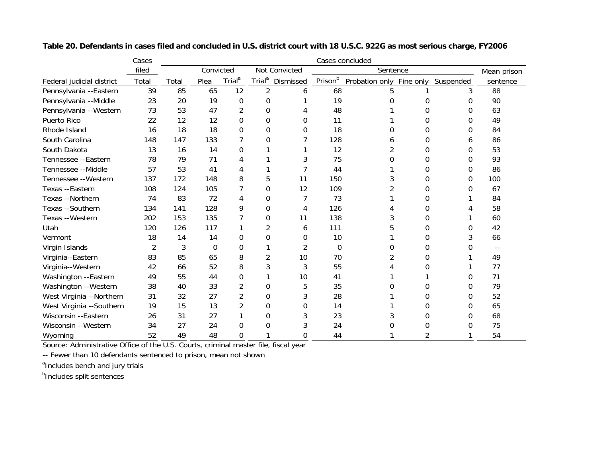|                           | Cases | Cases concluded |             |                    |                    |               |             |                |             |           |          |
|---------------------------|-------|-----------------|-------------|--------------------|--------------------|---------------|-------------|----------------|-------------|-----------|----------|
|                           | filed |                 | Convicted   |                    |                    | Not Convicted | Sentence    |                | Mean prison |           |          |
| Federal judicial district | Total | Total           | Plea        | Trial <sup>a</sup> | Trial <sup>a</sup> | Dismissed     | Prisonb     | Probation only | Fine only   | Suspended | sentence |
| Pennsylvania --Eastern    | 39    | 85              | 65          | 12                 | 2                  | 6             | 68          |                |             | 3         | 88       |
| Pennsylvania --Middle     | 23    | 20              | 19          | $\Omega$           | 0                  |               | 19          | 0              | 0           | 0         | 90       |
| Pennsylvania -- Western   | 73    | 53              | 47          | 2                  | 0                  |               | 48          |                | 0           | 0         | 63       |
| Puerto Rico               | 22    | 12              | 12          | 0                  | 0                  | 0             | 11          |                | 0           | 0         | 49       |
| Rhode Island              | 16    | 18              | 18          | 0                  | 0                  | 0             | 18          | 0              | 0           | 0         | 84       |
| South Carolina            | 148   | 147             | 133         | 7                  | 0                  |               | 128         | 6              | 0           | 6         | 86       |
| South Dakota              | 13    | 16              | 14          | $\Omega$           |                    |               | 12          | 2              | 0           | 0         | 53       |
| Tennessee --Eastern       | 78    | 79              | 71          | 4                  |                    |               | 75          | 0              | 0           | 0         | 93       |
| Tennessee --Middle        | 57    | 53              | 41          | 4                  |                    |               | 44          |                | 0           | 0         | 86       |
| Tennessee --Western       | 137   | 172             | 148         | 8                  | 5                  | 11            | 150         | 3              | 0           | 0         | 100      |
| Texas --Eastern           | 108   | 124             | 105         | 7                  | 0                  | 12            | 109         | 2              | 0           | 0         | 67       |
| Texas --Northern          | 74    | 83              | 72          | 4                  | 0                  |               | 73          |                | 0           |           | 84       |
| Texas --Southern          | 134   | 141             | 128         | 9                  | 0                  | 4             | 126         |                | 0           |           | 58       |
| Texas --Western           | 202   | 153             | 135         |                    | 0                  | 11            | 138         | 3              | 0           |           | 60       |
| Utah                      | 120   | 126             | 117         |                    | $\overline{2}$     | 6             | 111         |                | 0           | 0         | 42       |
| Vermont                   | 18    | 14              | 14          | $\Omega$           | 0                  | 0             | 10          |                | 0           | 3         | 66       |
| Virgin Islands            | 2     | 3               | $\mathbf 0$ | $\mathbf 0$        |                    | 2             | $\mathbf 0$ | 0              | 0           |           | --       |
| Virginia--Eastern         | 83    | 85              | 65          | 8                  | 2                  | 10            | 70          |                | 0           |           | 49       |
| Virginia--Western         | 42    | 66              | 52          | 8                  | 3                  | 3             | 55          |                | 0           |           | 77       |
| Washington --Eastern      | 49    | 55              | 44          | 0                  |                    | 10            | 41          |                |             | 0         | 71       |
| Washington --Western      | 38    | 40              | 33          | 2                  | 0                  | 5             | 35          |                | 0           | 0         | 79       |
| West Virginia --Northern  | 31    | 32              | 27          | $\overline{2}$     | 0                  | 3             | 28          |                | 0           | 0         | 52       |
| West Virginia --Southern  | 19    | 15              | 13          | $\overline{2}$     | 0                  | 0             | 14          |                | 0           | 0         | 65       |
| Wisconsin --Eastern       | 26    | 31              | 27          |                    | 0                  | 3             | 23          |                | 0           | 0         | 68       |
| Wisconsin --Western       | 34    | 27              | 24          | 0                  | 0                  |               | 24          | 0              | 0           | 0         | 75       |
| Wyoming                   | 52    | 49              | 48          | 0                  |                    | 0             | 44          |                |             |           | 54       |

**Table 20. Defendants in cases filed and concluded in U.S. district court with 18 U.S.C. 922G as most serious charge, FY2006**

Source: Administrative Office of the U.S. Courts, criminal master file, fiscal year

-- Fewer than 10 defendants sentenced to prison, mean not shown

<sup>a</sup>Includes bench and jury trials

**b**Includes split sentences